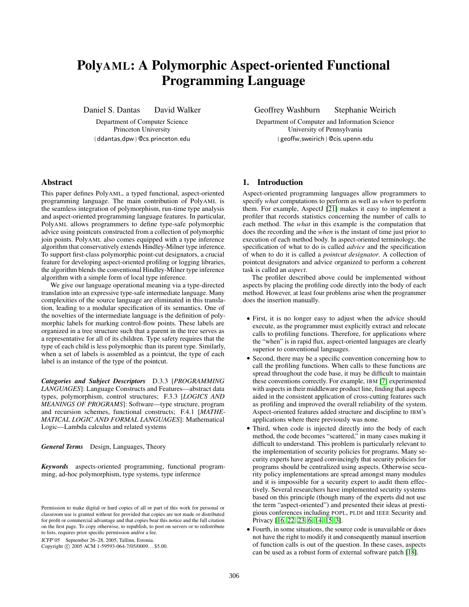# PolyAML: A Polymorphic Aspect-oriented Functional Programming Language

Daniel S. Dantas David Walker

Department of Computer Science Princeton University {ddantas,dpw}@cs.princeton.edu Geoffrey Washburn Stephanie Weirich

Department of Computer and Information Science University of Pennsylvania {geoffw,sweirich}@cis.upenn.edu

# Abstract

This paper defines PolyAML, a typed functional, aspect-oriented programming language. The main contribution of PolyAML is the seamless integration of polymorphism, run-time type analysis and aspect-oriented programming language features. In particular, PolyAML allows programmers to define type-safe polymorphic advice using pointcuts constructed from a collection of polymorphic join points. PolyAML also comes equipped with a type inference algorithm that conservatively extends Hindley-Milner type inference. To support first-class polymorphic point-cut designators, a crucial feature for developing aspect-oriented profiling or logging libraries, the algorithm blends the conventional Hindley-Milner type inference algorithm with a simple form of local type inference.

We give our language operational meaning via a type-directed translation into an expressive type-safe intermediate language. Many complexities of the source language are eliminated in this translation, leading to a modular specification of its semantics. One of the novelties of the intermediate language is the definition of polymorphic labels for marking control-flow points. These labels are organized in a tree structure such that a parent in the tree serves as a representative for all of its children. Type safety requires that the type of each child is less polymorphic than its parent type. Similarly, when a set of labels is assembled as a pointcut, the type of each label is an instance of the type of the pointcut.

*Categories and Subject Descriptors* D.3.3 [*PROGRAMMING LANGUAGES*]: Language Constructs and Features—abstract data types, polymorphism, control structures; F.3.3 [*LOGICS AND MEANINGS OF PROGRAMS*]: Software—type structure, program and recursion schemes, functional constructs; F.4.1 [*MATHE-MATICAL LOGIC AND FORMAL LANGUAGES*]: Mathematical Logic—Lambda calculus and related systems

*General Terms* Design, Languages, Theory

*Keywords* aspects-oriented programming, functional programming, ad-hoc polymorphism, type systems, type inference

ICFP'05 September 26–28, 2005, Tallinn, Estonia.

Copyright © 2005 ACM 1-59593-064-7/05/0009... \$5.00.

# 1. Introduction

Aspect-oriented programming languages allow programmers to specify *what* computations to perform as well as *when* to perform them. For example, AspectJ [[21](#page-13-0)] makes it easy to implement a profiler that records statistics concerning the number of calls to each method. The *what* in this example is the computation that does the recording and the *when* is the instant of time just prior to execution of each method body. In aspect-oriented terminology, the specification of what to do is called *advice* and the specification of when to do it is called a *pointcut designator*. A collection of pointcut designators and advice organized to perform a coherent task is called an *aspect*.

The profiler described above could be implemented without aspects by placing the profiling code directly into the body of each method. However, at least four problems arise when the programmer does the insertion manually.

- First, it is no longer easy to adjust when the advice should execute, as the programmer must explicitly extract and relocate calls to profiling functions. Therefore, for applications where the "when" is in rapid flux, aspect-oriented languages are clearly superior to conventional languages.
- Second, there may be a specific convention concerning how to call the profiling functions. When calls to these functions are spread throughout the code base, it may be difficult to maintain these conventions correctly. For example, IBM [[7](#page-12-0)] experimented with aspects in their middleware product line, finding that aspects aided in the consistent application of cross-cutting features such as profiling and improved the overall reliability of the system. Aspect-oriented features added structure and discipline to IBM's applications where there previously was none.
- Third, when code is injected directly into the body of each method, the code becomes "scattered," in many cases making it difficult to understand. This problem is particularly relevant to the implementation of security policies for programs. Many security experts have argued convincingly that security policies for programs should be centralized using aspects. Otherwise security policy implementations are spread amongst many modules and it is impossible for a security expert to audit them effectively. Several researchers have implemented security systems based on this principle (though many of the experts did not use the term "aspect-oriented") and presented their ideas at prestigious conferences including POPL, PLDI and IEEE Security and Privacy [\[16,](#page-12-1) [22,](#page-13-1) [23,](#page-13-2) [6,](#page-12-2) [14,](#page-12-3) [15,](#page-12-4) [3\]](#page-12-5).
- Fourth, in some situations, the source code is unavailable or does not have the right to modify it and consequently manual insertion of function calls is out of the question. In these cases, aspects can be used as a robust form of external software patch [\[18\]](#page-13-3).

Permission to make digital or hard copies of all or part of this work for personal or classroom use is granted without fee provided that copies are not made or distributed for profit or commercial advantage and that copies bear this notice and the full citation on the first page. To copy otherwise, to republish, to post on servers or to redistribute to lists, requires prior specific permission and/or a fee.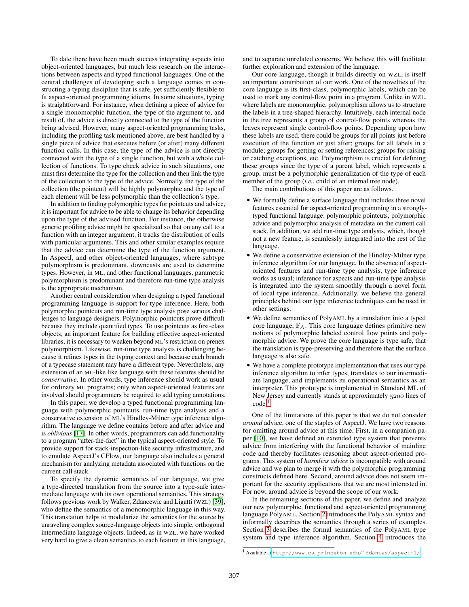To date there have been much success integrating aspects into object-oriented languages, but much less research on the interactions between aspects and typed functional languages. One of the central challenges of developing such a language comes in constructing a typing discipline that is safe, yet sufficiently flexible to fit aspect-oriented programming idioms. In some situations, typing is straightforward. For instance, when defining a piece of advice for a single monomorphic function, the type of the argument to, and result of, the advice is directly connected to the type of the function being advised. However, many aspect-oriented programming tasks, including the profiling task mentioned above, are best handled by a single piece of advice that executes before (or after) many different function calls. In this case, the type of the advice is not directly connected with the type of a single function, but with a whole collection of functions. To type check advice in such situations, one must first determine the type for the collection and then link the type of the collection to the type of the advice. Normally, the type of the collection (the pointcut) will be highly polymorphic and the type of each element will be less polymorphic than the collection's type.

In addition to finding polymorphic types for pointcuts and advice, it is important for advice to be able to change its behavior depending upon the type of the advised function. For instance, the otherwise generic profiling advice might be specialized so that on any call to a function with an integer argument, it tracks the distribution of calls with particular arguments. This and other similar examples require that the advice can determine the type of the function argument. In AspectJ, and other object-oriented languages, where subtype polymorphism is predominant, downcasts are used to determine types. However, in ML, and other functional languages, parametric polymorphism is predominant and therefore run-time type analysis is the appropriate mechanism.

Another central consideration when designing a typed functional programming language is support for type inference. Here, both polymorphic pointcuts and run-time type analysis pose serious challenges to language designers. Polymorphic pointcuts prove difficult because they include quantified types. To use pointcuts as first-class objects, an important feature for building effective aspect-oriented libraries, it is necessary to weaken beyond ML's restriction on prenex polymorphism. Likewise, run-time type analysis is challenging because it refines types in the typing context and because each branch of a typecase statement may have a different type. Nevertheless, any extension of an ML-like like language with these features should be *conservative*. In other words, type inference should work as usual for ordinary ML programs; only when aspect-oriented features are involved should programmers be required to add typing annotations.

In this paper, we develop a typed functional programming language with polymorphic pointcuts, run-time type analysis and a conservative extension of ML's Hindley-Milner type inference algorithm. The language we define contains before and after advice and is *oblivious* [[17](#page-13-4)]. In other words, programmers can add functionality to a program "after-the-fact" in the typical aspect-oriented style. To provide support for stack-inspection-like security infrastructure, and to emulate AspectJ's CFlow, our language also includes a general mechanism for analyzing metadata associated with functions on the current call stack.

To specify the dynamic semantics of our language, we give a type-directed translation from the source into a type-safe intermediate language with its own operational semantics. This strategy follows previous work by Walker, Zdancewic and Ligatti (WZL) [[39](#page-13-5)], who define the semantics of a monomorphic language in this way. This translation helps to modularize the semantics for the source by unraveling complex source-language objects into simple, orthogonal intermediate language objects. Indeed, as in WZL, we have worked very hard to give a clean semantics to each feature in this language, and to separate unrelated concerns. We believe this will facilitate further exploration and extension of the language.

Our core language, though it builds directly on WZL, is itself an important contribution of our work. One of the novelties of the core language is its first-class, polymorphic labels, which can be used to mark any control-flow point in a program. Unlike in WZL, where labels are monomorphic, polymorphism allows us to structure the labels in a tree-shaped hierarchy. Intuitively, each internal node in the tree represents a group of control-flow points whereas the leaves represent single control-flow points. Depending upon how these labels are used, there could be groups for all points just before execution of the function or just after; groups for all labels in a module; groups for getting or setting references; groups for raising or catching exceptions, etc. Polymorphism is crucial for defining these groups since the type of a parent label, which represents a group, must be a polymorphic generalization of the type of each member of the group (*i.e.*, child of an internal tree node).

The main contributions of this paper are as follows.

- We formally define a surface language that includes three novel features essential for aspect-oriented programming in a stronglytyped functional language: polymorphic pointcuts, polymorphic advice and polymorphic analysis of metadata on the current call stack. In addition, we add run-time type analysis, which, though not a new feature, is seamlessly integrated into the rest of the language.
- We define a conservative extension of the Hindley-Milner type inference algorithm for our language. In the absence of aspectoriented features and run-time type analysis, type inference works as usual; inference for aspects and run-time type analysis is integrated into the system smoothly through a novel form of local type inference. Additionally, we believe the general principles behind our type inference techniques can be used in other settings.
- We define semantics of PolyAML by a translation into a typed core language,  $\mathbb{F}_A$ . This core language defines primitive new notions of polymorphic labeled control flow points and polymorphic advice. We prove the core language is type safe, that the translation is type-preserving and therefore that the surface language is also safe.
- We have a complete prototype implementation that uses our type inference algorithm to infer types, translates to our intermediate language, and implements its operational semantics as an interpreter. This prototype is implemented in Standard ML of New Jersey and currently stands at approximately 5200 lines of  $code<sup>1</sup>$  $code<sup>1</sup>$  $code<sup>1</sup>$ .

One of the limitations of this paper is that we do not consider *around* advice, one of the staples of AspectJ. We have two reasons for omitting around advice at this time. First, in a companion paper [[10](#page-12-6)], we have defined an extended type system that prevents advice from interfering with the functional behavior of mainline code and thereby facilitates reasoning about aspect-oriented programs. This system of *harmless advice* is incompatible with around advice and we plan to merge it with the polymorphic programming constructs defined here. Second, around advice does not seem important for the security applications that we are most interested in. For now, around advice is beyond the scope of our work.

In the remaining sections of this paper, we define and analyze our new polymorphic, functional and aspect-oriented programming language PolyAML. Section [2](#page-2-0) introduces the PolyAML syntax and informally describes the semantics through a series of examples. Section [3](#page-4-0) describes the formal semantics of the PolyAML type system and type inference algorithm. Section [4](#page-7-0) introduces the

<span id="page-1-0"></span><sup>1</sup> Available at [http://www.cs.princeton.edu/](http://www.cs.princeton.edu/~ddantas/aspectml/)∼ddantas/aspectml/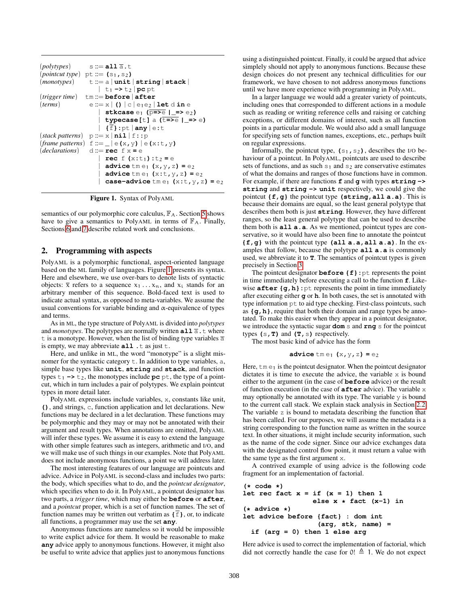```
(polytypes) s ::= all \overline{a}.t
(pointcut type) pt ::= (s_1, s_2)(monotypes) t ::= a j unit j string j stack j
                    j t1 -> t2 j pc pt
(trigger time) tm ::= before j after
(terms) e ::= x | () |c|e_1e_2| let d in e
                      j stkcase e1 (p=>e |_=> e2)
                      j typecase[t] a (t=>e |_=> e)
                      \{\overline{f}\}:pt |\mathbf{any}| e:t
(\textit{stack patterns}) \quad p ::= x \mid \textbf{nil} \mid f : :p(frame patterns) f := \_ |e(x, y)| e(x:t, y)(declarations) d:=rec f x = e
                      rec f(x:t_1):t_2 = eadvice \tan e_1 (x, y, z) = e_2advice \tan e_1 (x:t, y, z) = e_2case-advice \tan \theta_1 (x:t, y, z) = e_2
```
<span id="page-2-1"></span>Figure 1. Syntax of PolyAML

semantics of our polymorphic core calculus,  $\mathbb{F}_A$ . Section [5](#page-10-0) shows have to give a semantics to PolyAML in terms of  $\mathbb{F}_A$ . Finally, Sections [6](#page-11-0) and [7](#page-12-7) describe related work and conclusions.

## <span id="page-2-0"></span>2. Programming with aspects

PolyAML is a polymorphic functional, aspect-oriented language based on the ML family of languages. Figure [1](#page-2-1) presents its syntax. Here and elsewhere, we use over-bars to denote lists of syntactic objects:  $\bar{x}$  refers to a sequence  $x_1 \ldots x_n$ , and  $x_i$  stands for an arbitrary member of this sequence. Bold-faced text is used to indicate actual syntax, as opposed to meta-variables. We assume the usual conventions for variable binding and  $\alpha$ -equivalence of types and terms.

As in ML, the type structure of PolyAML is divided into *polytypes* and *monotypes*. The polytypes are normally written  $all \overline{a}.t$  where t is a monotype. However, when the list of binding type variables  $\overline{a}$ is empty, we may abbreviate **all .**t as just t.

Here, and unlike in ML, the word "monotype" is a slight misnomer for the syntactic category  $t$ . In addition to type variables,  $a$ , simple base types like **unit**, **string** and **stack**, and function types  $t_1$   $\rightarrow$   $t_2$ , the monotypes include  $\mathbf{pc}$  pt, the type of a pointcut, which in turn includes a pair of polytypes. We explain pointcut types in more detail later.

PolyAML expressions include variables, x, constants like unit, **()**, and strings, c, function application and let declarations. New functions may be declared in a let declaration. These functions may be polymorphic and they may or may not be annotated with their argument and result types. When annotations are omitted, PolyAML will infer these types. We assume it is easy to extend the language with other simple features such as integers, arithmetic and I/O, and we will make use of such things in our examples. Note that PolyAML does not include anonymous functions, a point we will address later.

The most interesting features of our language are pointcuts and advice. Advice in PolyAML is second-class and includes two parts: the body, which specifies what to do, and the *pointcut designator*, which specifies when to do it. In PolyAML, a pointcut designator has two parts, a *trigger time*, which may either be **before** or **after**, and a *pointcut* proper, which is a set of function names. The set of function names may be written out verbatim as  $\{\bar{f}\}$ , or, to indicate all functions, a programmer may use the set **any**.

Anonymous functions are nameless so it would be impossible to write explict advice for them. It would be reasonable to make **any** advice apply to anonymous functions. However, it might also be useful to write advice that applies just to anonymous functions using a distinguished pointcut. Finally, it could be argued that advice simplely should not apply to anonymous functions. Because these design choices do not present any technical difficulities for our framework, we have chosen to not address anonymous functions until we have more experience with programming in PolyAML.

In a larger language we would add a greater variety of pointcuts, including ones that corresponded to different actions in a module such as reading or writing reference cells and raising or catching exceptions, or different domains of interest, such as all function points in a particular module. We would also add a small language for specifying sets of function names, exceptions, etc., perhaps built on regular expressions.

Informally, the pointcut type,  $(s_1, s_2)$ , describes the I/O behaviour of a pointcut. In PolyAML, pointcuts are used to describe sets of functions, and as such  $s_1$  and  $s_2$  are conservative estimates of what the domains and ranges of those functions have in common. For example, if there are functions **f** and **g** with types **string -> string** and **string -> unit** respectively, we could give the pointcut **{f,g}** the pointcut type **(string,all a.a)**. This is because their domains are equal, so the least general polytype that describes them both is just **string**. However, they have different ranges, so the least general polytype that can be used to describe them both is **all a.a**. As we mentioned, pointcut types are conservative, so it would have also been fine to annotate the pointcut **{f,g}** with the pointcut type **(all a.a,all a.a)**. In the examples that follow, because the polytype **all a.a** is commonly used, we abbreviate it to **T**. The semantics of pointcut types is given precisely in Section [3.](#page-4-0)

The pointcut designator **before {f}:**pt represents the point in time immediately before executing a call to the function **f**. Likewise **after**  $\{g, h\}$ : pt represents the point in time immediately after executing either **g** or **h**. In both cases, the set is annotated with type information pt to aid type checking. First-class pointcuts, such as **{g,h}**, require that both their domain and range types be annotated. To make this easier when they appear in a pointcut designator, we introduce the syntactic sugar **dom** s and **rng** s for the pointcut types **(**s**,T)** and **(T,**s**)** respectively.

The most basic kind of advice has the form

```
advice \tan e_1 (x, y, z) = e_2
```
Here,  $\pm m e_1$  is the pointcut designator. When the pointcut designator dictates it is time to execute the advice, the variable  $x$  is bound either to the argument (in the case of **before** advice) or the result of function execution (in the case of **after** advice). The variable x may optionally be annotated with its type. The variable  $\gamma$  is bound to the current call stack. We explain stack analysis in Section [2.2.](#page-3-0) The variable z is bound to metadata describing the function that has been called. For our purposes, we will assume the metadata is a string corresponding to the function name as written in the source text. In other situations, it might include security information, such as the name of the code signer. Since our advice exchanges data with the designated control flow point, it must return a value with the same type as the first argument x.

A contrived example of using advice is the following code fragment for an implementation of factorial.

```
(* code *)
let rec fact x = if (x = 1) then 1
                 else x * fact (x-1) in
(* advice *)
let advice before {fact} : dom int
                   (arg, stk, name) =
  if (arg = 0) then 1 else arg
```
Here advice is used to correct the implementation of factorial, which did not correctly handle the case for  $\theta$ !  $\triangleq$  1. We do not expect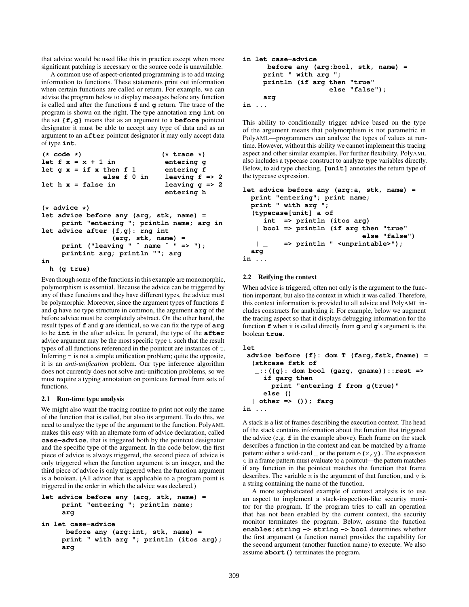that advice would be used like this in practice except when more significant patching is necessary or the source code is unavailable.

A common use of aspect-oriented programming is to add tracing information to functions. These statements print out information when certain functions are called or return. For example, we can advise the program below to display messages before any function is called and after the functions **f** and **g** return. The trace of the program is shown on the right. The type annotation **rng int** on the set **{f,g}** means that as an argument to a **before** pointcut designator it must be able to accept any type of data and as an argument to an **after** pointcut designator it may only accept data of type **int**.

```
(* code *) (* trace *)
let f x = x + 1 in entering g
let g x = if x then f 1 entering f
             else f 0 in leaving f => 2
let h x = false in leaving g => 2
                           entering h
(* advice *)
let advice before any (arg, stk, name) =
    print "entering "; println name; arg in
let advice after {f,g}: rng int
               (arg, stk, name) =
    print ("leaving " ˆ name ˆ " => ");
    printint arg; println ""; arg
in
 h (g true)
```
Even though some of the functions in this example are monomorphic, polymorphism is essential. Because the advice can be triggered by any of these functions and they have different types, the advice must be polymorphic. Moreover, since the argument types of functions **f** and **g** have no type structure in common, the argument **arg** of the before advice must be completely abstract. On the other hand, the result types of **f** and **g** are identical, so we can fix the type of **arg** to be **int** in the after advice. In general, the type of the **after** advice argument may be the most specific type  $t$  such that the result types of all functions referenced in the pointcut are instances of t. Inferring  $t$  is not a simple unification problem; quite the opposite, it is an *anti-unification* problem. Our type inference algorithm does not currently does not solve anti-unification problems, so we must require a typing annotation on pointcuts formed from sets of functions.

#### 2.1 Run-time type analysis

We might also want the tracing routine to print not only the name of the function that is called, but also its argument. To do this, we need to analyze the type of the argument to the function. PolyAML makes this easy with an alternate form of advice declaration, called **case-advice**, that is triggered both by the pointcut designator and the specific type of the argument. In the code below, the first piece of advice is always triggered, the second piece of advice is only triggered when the function argument is an integer, and the third piece of advice is only triggered when the function argument is a boolean. (All advice that is applicable to a program point is triggered in the order in which the advice was declared.)

```
let advice before any (arg, stk, name) =
     print "entering "; println name;
     arg
```

```
in let case-advice
      before any (arg:int, stk, name) =
     print " with arg "; println (itos arg);
     arg
```

```
in let case-advice
      before any (arg:bool, stk, name) =
     print " with arg ";
     println (if arg then "true"
                     else "false");
     arg
in ...
```
This ability to conditionally trigger advice based on the type of the argument means that polymorphism is not parametric in PolyAML—programmers can analyze the types of values at runtime. However, without this ability we cannot implement this tracing aspect and other similar examples. For further flexibility, PolyAML also includes a typecase construct to analyze type variables directly. Below, to aid type checking, **[unit]** annotates the return type of the typecase expression.

```
let advice before any (arg:a, stk, name) =
 print "entering"; print name;
 print " with arg ";
  (typecase[unit] a of
    int => println (itos arg)
   | bool => println (if arg then "true"
                             else "false")
   | _ => println " <unprintable>");
  arg
in ...
```
## <span id="page-3-0"></span>2.2 Reifying the context

When advice is triggered, often not only is the argument to the function important, but also the context in which it was called. Therefore, this context information is provided to all advice and PolyAML includes constructs for analyzing it. For example, below we augment the tracing aspect so that it displays debugging information for the function **f** when it is called directly from **g** and **g**'s argument is the boolean **true**.

```
let
 advice before {f}: dom T (farg,fstk,fname) =
  (stkcase fstk of
   _::({g}: dom bool (garg, gname))::rest =>
     if garg then
      print "entering f from g(true)"
     else ()
  | other => ()); farg
in ...
```
A stack is a list of frames describing the execution context. The head of the stack contains information about the function that triggered the advice (e.g. **f** in the example above). Each frame on the stack describes a function in the context and can be matched by a frame pattern: either a wild-card  $\angle$  or the pattern  $\in$  (x, y). The expression e in a frame pattern must evaluate to a pointcut—the pattern matches if any function in the pointcut matches the function that frame describes. The variable  $x$  is the argument of that function, and  $y$  is a string containing the name of the function.

A more sophisticated example of context analysis is to use an aspect to implement a stack-inspection-like security monitor for the program. If the program tries to call an operation that has not been enabled by the current context, the security monitor terminates the program. Below, assume the function **enables:string -> string -> bool** determines whether the first argument (a function name) provides the capability for the second argument (another function name) to execute. We also assume **abort()** terminates the program.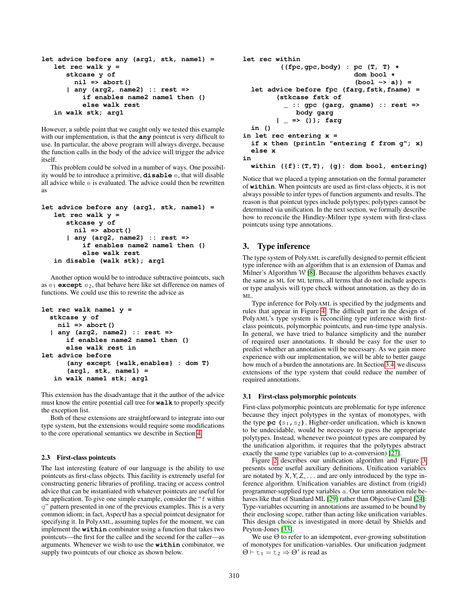```
let advice before any (arg1, stk, name1) =
   let rec walk y =
      stkcase y of
        nil => abort()
      | any (arg2, name2) :: rest =>
          if enables name2 name1 then ()
          else walk rest
   in walk stk; arg1
```
However, a subtle point that we caught only we tested this example with our implementation, is that the **any** pointcut is very difficult to use. In particular, the above program will always diverge, because the function calls in the body of the advice will trigger the advice itself.

This problem could be solved in a number of ways. One possibility would be to introduce a primitive, **disable** e, that will disable all advice while e is evaluated. The advice could then be rewritten as

```
let advice before any (arg1, stk, name1) =
   let rec walk y =
      stkcase y of
        nil => abort()
      | any (arg2, name2) :: rest =>
          if enables name2 name1 then ()
          else walk rest
   in disable (walk stk); arg1
```
Another option would be to introduce subtractive pointcuts, such as  $e_1$  **except**  $e_2$ , that behave here like set difference on names of functions. We could use this to rewrite the advice as

```
let rec walk name1 y =
  stkcase y of
    nil => abort()
  | any (arg2, name2) :: rest =>
      if enables name2 name1 then ()
      else walk rest in
let advice before
      (any except {walk,enables} : dom T)
      (arg1, stk, name1) =
   in walk name1 stk; arg1
```
This extension has the disadvantage that it the author of the advice must know the entire potential call tree for **walk** to properly specify the exception list.

Both of these extensions are straightforward to integrate into our type system, but the extensions would require some modifications to the core operational semantics we describe in Section [4.](#page-7-0)

## 2.3 First-class pointcuts

The last interesting feature of our language is the ability to use pointcuts as first-class objects. This facility is extremely useful for constructing generic libraries of profiling, tracing or access control advice that can be instantiated with whatever pointcuts are useful for the application. To give one simple example, consider the "f within g" pattern presented in one of the previous examples. This is a very common idiom; in fact, AspectJ has a special pointcut designator for specifying it. In PolyAML, assuming tuples for the moment, we can implement the **within** combinator using a function that takes two pointcuts—the first for the callee and the second for the caller—as arguments. Whenever we wish to use the **within** combinator, we supply two pointcuts of our choice as shown below.

```
let rec within
          ((fpc,gpc,body) : pc (T, T) *
                            dom bool *
                            (bool -> a)) =
  let advice before fpc (farg,fstk,fname) =
        (stkcase fstk of
          _ :: gpc (garg, gname) :: rest =>
             body garg
            | _ => ()); farg
  in ()
in let rec entering x =
  if x then (println "entering f from g"; x)
  else x
in
```
**within ({f}:(T,T), {g}: dom bool, entering)**

Notice that we placed a typing annotation on the formal parameter of **within**. When pointcuts are used as first-class objects, it is not always possible to infer types of function arguments and results. The reason is that pointcut types include polytypes; polytypes cannot be determined via unification. In the next section, we formally describe how to reconcile the Hindley-Milner type system with first-class pointcuts using type annotations.

# <span id="page-4-0"></span>3. Type inference

The type system of PolyAML is carefully designed to permit efficient type inference with an algorithm that is an extension of Damas and Milner's Algorithm  $W$  [[8](#page-12-8)]. Because the algorithm behaves exactly the same as ML for ML terms, all terms that do not include aspects or type analysis will type check without annotation, as they do in ML.

Type inference for PolyAML is specified by the judgments and rules that appear in Figure [4.](#page-5-0) The difficult part in the design of PolyAML's type system is reconciling type inference with firstclass pointcuts, polymorphic pointcuts, and run-time type analysis. In general, we have tried to balance simplicity and the number of required user annotations. It should be easy for the user to predict whether an annotation will be necessary. As we gain more experience with our implementation, we will be able to better gauge how much of a burden the annotations are. In Section [3.4,](#page-6-0) we discuss extensions of the type system that could reduce the number of required annotations.

## 3.1 First-class polymorphic pointcuts

First-class polymorphic pointcuts are problematic for type inference because they inject polytypes in the syntax of monotypes, with the type  $pc$  ( $s_1$ ,  $s_2$ ). Higher-order unification, which is known to be undecidable, would be necessary to guess the appropriate polytypes. Instead, whenever two pointcut types are compared by the unification algorithm, it requires that the polytypes abstract exactly the same type variables (up to  $\alpha$ -conversion) [\[27\]](#page-13-6).

Figure [2](#page-5-1) describes our unification algorithm and Figure [3](#page-5-2) presents some useful auxiliary definitions. Unification variables are notated by  $X, Y, Z, \ldots$  and are only introduced by the type inference algorithm. Unification variables are distinct from (rigid) programmer-supplied type variables a. Our term annotation rule be-haves like that of Standard ML [[29](#page-13-7)] rather than Objective Caml [[24](#page-13-8)]: Type-variables occurring in annotations are assumed to be bound by their enclosing scope, rather than acting like unification variables. This design choice is investigated in more detail by Shields and Peyton-Jones [\[33\]](#page-13-9).

We use  $\Theta$  to refer to an idempotent, ever-growing substitution of monotypes for unification-variables. Our unification judgment  $\Theta \vdash t_1 = t_2 \Rightarrow \Theta'$  is read as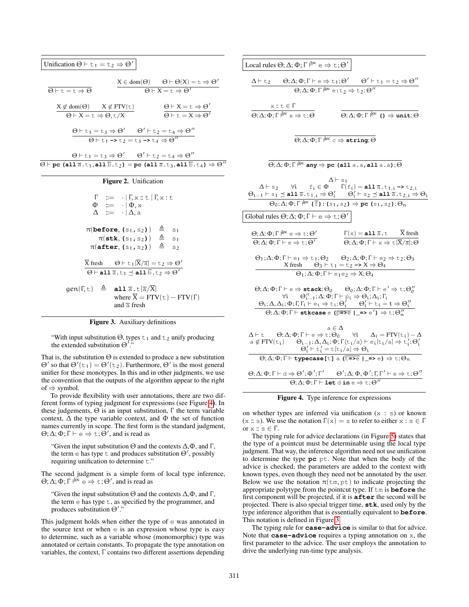$$
\boxed{\text{Unification } \Theta \vdash t_1 = t_2 \Rightarrow \Theta' \quad \text{if } t = \pm \Rightarrow \Theta' \quad \text{if } t = \pm \Rightarrow \Theta' \quad \text{if } t = \pm \Rightarrow \Theta \quad \text{if } t = \pm \Rightarrow \Theta \quad \text{if } t = \pm \Rightarrow \Theta' \quad \text{if } t = \pm \Rightarrow \Theta' \quad \text{if } t = \pm \Rightarrow \Theta \quad \text{if } t = \pm \Rightarrow \Theta \quad \text{if } t = \pm \Rightarrow \Theta \quad \text{if } t = \pm \Rightarrow \Theta \quad \text{if } t = \pm \Rightarrow \Theta' \quad \text{if } t = \pm \Rightarrow \Theta' \quad \text{if } t = \pm \Rightarrow \Theta' \quad \text{if } t = \pm \Rightarrow \Theta \quad \text{if } t = \pm \Rightarrow \Theta \quad \text{if } t = \pm \Rightarrow \Theta \quad \text{if } t = \pm \Rightarrow \Theta \quad \text{if } t = \pm \Rightarrow \Theta \quad \text{if } t = \pm \Rightarrow \Theta \quad \text{if } t = \pm \Rightarrow \Theta \quad \text{if } t = \pm \Rightarrow \Theta \quad \text{if } t = \pm \Rightarrow \Theta \quad \text{if } t = \pm \Rightarrow \Theta \quad \text{if } t = \pm \Rightarrow \Theta \quad \text{if } t = \pm \Rightarrow \Theta \quad \text{if } t = \pm \Rightarrow \Theta \quad \text{if } t = \pm \Rightarrow \Theta \quad \text{if } t = \pm \Rightarrow \Theta \quad \text{if } t = \pm \Rightarrow \Theta \quad \text{if } t = \pm \Rightarrow \Theta \quad \text{if } t = \pm \Rightarrow \Theta \quad \text{if } t = \pm \Rightarrow \Theta \quad \text{if } t = \pm \Rightarrow \Theta \quad \text{if } t = \pm \Rightarrow \Theta \quad \text{if } t = \pm \Rightarrow \Theta \quad \text{if } t = \pm \Rightarrow \Theta \quad \text{if } t = \pm \Rightarrow \Theta \quad \text{if } t = \pm \Rightarrow \Theta \quad \text{if } t = \pm \Rightarrow \Theta \quad \text{if } t = \pm \Rightarrow \Theta \quad \text{if } t = \pm \Rightarrow \Theta \quad \text{if } t = \pm \Rightarrow \Theta \quad \text{if } t = \pm \Rightarrow \Theta \quad \text{if } t = \pm \Rightarrow \Theta \quad \text{if } t = \pm \Rightarrow \Theta \quad \text{if } t = \pm \Rightarrow \Theta \quad \text{if } t = \pm \Rightarrow \Theta \quad \text{if } t = \pm \Rightarrow \Theta \quad \text{if } t
$$

#### <span id="page-5-1"></span>Figure 2. Unification

$$
\Gamma \ ::= \ \cdot | \Gamma, x :: t | \Gamma, x : t
$$
\n
$$
\Phi \ ::= \ \cdot | \Phi, x
$$
\n
$$
\Delta \ ::= \ \cdot | \Delta, a
$$
\n
$$
\pi(\text{before}, (s_1, s_2)) \triangleq s_1
$$
\n
$$
\pi(\text{stk}, (s_1, s_2)) \triangleq s_1
$$
\n
$$
\pi(\text{after}, (s_1, s_2)) \triangleq s_2
$$
\n
$$
\frac{\overline{X} \text{ fresh}}{\Theta \vdash \text{all } \overline{a} \cdot t_1 \leq \text{all } \overline{b} \cdot t_2 \Rightarrow \Theta'}
$$
\n
$$
\text{gen}(\Gamma, t) \triangleq \text{all } \overline{a} \cdot t_1 \overline{[\overline{a}/\overline{X}]}
$$

where  $X = FTV(t) - FTV(\Gamma)$ and  $\overline{a}$  fresh

# <span id="page-5-2"></span>Figure 3. Auxiliary definitions

"With input substitution  $\Theta$ , types  $t_1$  and  $t_2$  unify producing the extended substitution  $\Theta^{\prime}$ ."

That is, the substitution  $\Theta$  is extended to produce a new substitution  $\Theta'$  so that  $\Theta'(\tau_1) = \Theta'(\tau_2)$ . Furthermore,  $\Theta'$  is the most general unifier for these monotypes. In this and in other judgments, we use the convention that the outputs of the algorithm appear to the right of  $\Rightarrow$  symbol.

To provide flexibility with user annotations, there are two different forms of typing judgment for expressions (see Figure [4\)](#page-5-0). In these judgements,  $\Theta$  is an input substitution,  $\Gamma$  the term variable context,  $\Delta$  the type variable context, and  $\Phi$  the set of function names currently in scope. The first form is the standard judgment,  $\Theta; \Delta; \Phi; \Gamma \vdash e \Rightarrow t; \Theta', \text{ and is read as}$ 

"Given the input substitution  $\Theta$  and the contexts  $\Delta, \Phi$ , and  $\Gamma$ , the term  $\in$  has type  $\pm$  and produces substitution  $\Theta'$ , possibly requiring unification to determine  $t$ ."

The second judgment is a simple form of local type inference,  $\Theta; \Delta; \Phi; \Gamma \not\stackrel{\text{loc}}{\sim} e \Rightarrow t; \Theta', \text{ and is read as}$ 

"Given the input substitution  $\Theta$  and the contexts  $\Delta, \Phi$ , and  $\Gamma$ , the term  $e$  has type  $t$ , as specified by the programmer, and produces substitution  $\Theta'$ ."

This judgment holds when either the type of e was annotated in the source text or when e is an expression whose type is easy to determine, such as a variable whose (monomorphic) type was annotated or certain constants. To propagate the type annotation on variables, the context,  $\Gamma$  contains two different assertions depending

| Local rules $\Theta ; \Delta ; \Phi ; \Gamma \stackrel{\text{loc}}{\sim} e \Rightarrow t ; \Theta' \,   \,$                                                                                                                                                                                                                                                                                                                                                                                                                                                                                                                                                                                                                                            |
|--------------------------------------------------------------------------------------------------------------------------------------------------------------------------------------------------------------------------------------------------------------------------------------------------------------------------------------------------------------------------------------------------------------------------------------------------------------------------------------------------------------------------------------------------------------------------------------------------------------------------------------------------------------------------------------------------------------------------------------------------------|
| $\Delta \vdash t_2$ $\Theta; \Delta; \Phi; \Gamma \vdash e \Rightarrow t_1; \Theta'$ $\Theta' \vdash t_1 = t_2 \Rightarrow \Theta''$<br>$\Theta$ ; $\Delta$ ; $\Phi$ ; $\Gamma$ $\mu$ <sup>oc</sup> e: t <sub>2</sub> $\Rightarrow$ t <sub>2</sub> ; $\Theta$ "                                                                                                                                                                                                                                                                                                                                                                                                                                                                                        |
| x∷t∈Γ<br>$\overline{\Theta; \Delta; \Phi; \Gamma \xrightarrow{\text{loc}} x \Rightarrow t; \Theta}$<br>$\Theta$ ; $\Delta$ ; $\Phi$ ; $\Gamma \stackrel{\text{loc}}{\sim}$ () $\Rightarrow$ unit; $\Theta$                                                                                                                                                                                                                                                                                                                                                                                                                                                                                                                                             |
| $\Theta$ ; $\Delta$ ; $\Phi$ ; $\Gamma \stackrel{\text{loc}}{=} c \Rightarrow$ string; $\Theta$                                                                                                                                                                                                                                                                                                                                                                                                                                                                                                                                                                                                                                                        |
| $\Theta$ ; $\Delta$ ; $\Phi$ ; $\Gamma \stackrel{\text{loc}}{=}$ any $\Rightarrow$ pc (all a.a, all a.a); $\Theta$                                                                                                                                                                                                                                                                                                                                                                                                                                                                                                                                                                                                                                     |
| $\Delta \vdash s_1$<br>$\begin{array}{ccc} \Delta \vdash \mathbf{s}_2 & \forall \mathbf{i} & \mathbf{f}_\mathbf{i} \in \Phi & \Gamma(\mathbf{f}_\mathbf{i}) = \text{all } \overline{\mathbf{a}}.\mathbf{t}_{1, \mathbf{i}} \rightarrow \mathbf{t}_{2, \mathbf{i}} \\ \hline \Theta_{\mathbf{i}-\mathbf{1}} \vdash \mathbf{s}_1 \preceq \text{all } \overline{\mathbf{a}}.\mathbf{t}_{1, \mathbf{i}} \Rightarrow \Theta'_{\mathbf{i}} & \Theta'_{\mathbf{i}} \vdash \mathbf{s}_2 \preceq \text{all } \overline{\mathbf{a}}.\mathbf{t}_{2, \mathbf{i}} \Rightarrow$<br>$\overline{\Theta_0; \Delta; \Phi; \Gamma \vert^{\underline{\text{loc}}}} \, \{ \overline{\overline{\text{f}}} \}$ : $(s_1, s_2) \Rightarrow \textbf{pc} (s_1, s_2)$ ; $\Theta_n$ |
| Global rules $\Theta ; \Delta ; \Phi ; \Gamma \vdash \mathrm{\textnormal{e}} \Rightarrow \mathrm{\textnormal{t}} ; \Theta' \,   \,$                                                                                                                                                                                                                                                                                                                                                                                                                                                                                                                                                                                                                    |
| $\Theta ; \Delta ; \Phi ; \Gamma \stackrel{\text{loc}}{ \longrightarrow} \mathrm{e} \Rightarrow \mathrm{t} ; \Theta'$<br>$\Gamma(x) = \text{all } \overline{a}.t$ $\overline{X}$ fresh<br>$\Theta$ ; $\Delta$ ; $\Phi$ ; $\Gamma$ $\vdash$ $\Theta$ $\Rightarrow$ $t$ ; $\Theta'$<br>$\Theta$ ; $\Delta$ ; $\Phi$ ; $\Gamma \vdash x \Rightarrow \pm  \overline{X}/\overline{a} $ ; $\Theta$<br>$\Theta_1$ ; $\Delta$ ; $\Phi$ ; $\Gamma \vdash e_1 \Rightarrow t_1$ ; $\Theta_2$ $\Theta_2$ ; $\Delta$ ; $\Phi$ ; $\Gamma \vdash e_2 \Rightarrow t_2$ ; $\Theta_3$<br>X fresh $\Theta_3 \vdash t_1 = t_2 \rightarrow X \Rightarrow \Theta_4$<br>$\Theta_1$ ; $\Delta$ ; $\Phi$ ; $\Gamma \vdash e_1e_2 \Rightarrow X$ ; $\Theta_4$                    |
| $\Theta; \Delta; \Phi; \Gamma \vdash e \Rightarrow \text{stack}; \Theta_0 \qquad \Theta_0; \Delta; \Phi; \Gamma \vdash e' \Rightarrow t; \Theta''_0$<br>$\forall i \qquad \Theta_{i-1}''; \Delta; \Phi; \Gamma \vdash p_i \Rightarrow \Theta_i; \Delta_i; \Gamma_i$<br>$\Theta_i$ ; $\Delta$ , $\Delta_i$ ; $\Phi$ ; $\Gamma$ , $\Gamma$ <sub>i</sub> $\vdash$ $e_i \Rightarrow$ $t_i$ ; $\Theta'_i$ $\Theta'_i$ $\vdash$ $t_i = t \Rightarrow \Theta''_i$<br>$\Theta$ ; $\Delta$ ; $\Phi$ ; $\Gamma$ $\vdash$ stkcase e ( $\overline{p}$ =>e   _=> e') $\Rightarrow$ t; $\Theta''_n$                                                                                                                                                                  |
| a $\in \Delta$<br>$\Delta \vdash t \quad \Theta; \Delta; \Phi; \Gamma \vdash e \Rightarrow t; \Theta_0 \quad \forall i \quad \Delta_i = FTV(t_i) - \Delta$<br>$a \notin \text{FTV}(\text{t}_i)$ $\Theta_{i-1}$ ; $\Delta, \Delta_i$ ; $\Phi$ ; $\Gamma \langle \text{t}_i/a \rangle \vdash e_i [\text{t}_i/a] \Rightarrow \text{t}'_i$ ; $\Theta'_i$<br>$\Theta'_i \vdash \mathbf{t}'_i = \mathbf{t}[\mathbf{t}_i/\mathbf{a}] \Rightarrow \Theta_i$<br>$\Theta$ ; $\Delta$ ; $\Phi$ ; $\Gamma$ $\vdash$ typecase [t] a ( $\overline{t}$ =>e) => e) $\Rightarrow$ t; $\Theta$ <sub>n</sub>                                                                                                                                                              |
| $\Theta ; \Delta ; \Phi ; \Gamma \vdash \mathrm{d} \Rightarrow \Theta' ; \Phi' ; \Gamma' \qquad \Theta' ; \Delta ; \Phi , \Phi' ; \Gamma , \Gamma' \vdash \mathrm{e} \Rightarrow \mathrm{t} ; \Theta''$<br>$\Theta$ ; $\Delta$ ; $\Phi$ ; $\Gamma$ $\vdash$ <b>let</b> $d$ <b>in</b> $e \Rightarrow t$ ; $\Theta$ ''                                                                                                                                                                                                                                                                                                                                                                                                                                   |

# <span id="page-5-0"></span>Figure 4. Type inference for expressions

on whether types are inferred via unification  $(x : s)$  or known  $(x :: s)$ . We use the notation  $\Gamma(x) = s$  to refer to either  $x : s \in \Gamma$ or  $x :: s \in \Gamma$ .

The typing rule for advice declarations (in Figure [5\)](#page-6-1) states that the type of a pointcut must be determinable using the local type judgment. That way, the inference algorithm need not use unification to determine the type **pc** pt. Note that when the body of the advice is checked, the parameters are added to the context with known types, even though they need not be annotated by the user. Below we use the notation  $\pi(\text{tm}, \text{pt})$  to indicate projecting the appropriate polytype from the pointcut type. If tm is **before** the first component will be projected, if it is **after** the second will be projected. There is also special trigger time, **stk**, used only by the type inference algorithm that is essentially equivalent to **before**. This notation is defined in Figure [3.](#page-5-2)

The typing rule for **case-advice** is similar to that for advice. Note that **case-advice** requires a typing annotation on x, the first parameter to the advice. The user employs the annotation to drive the underlying run-time type analysis.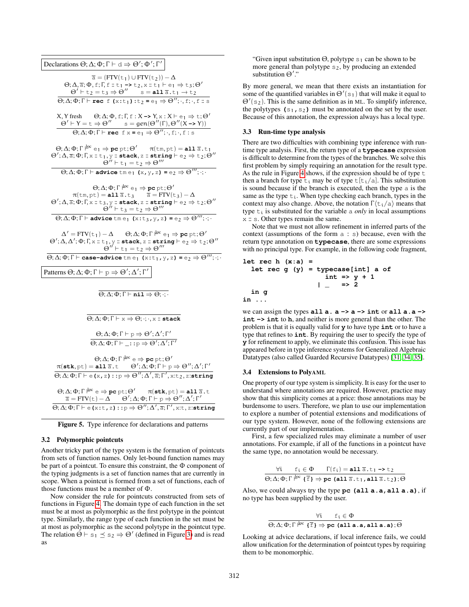| Declarations $\Theta$ ; $\Delta$ ; $\Phi$ ; $\Gamma \vdash d \Rightarrow \Theta'$ ; $\Phi'$ ; $\Gamma'$                                                                                                                                                                                                                                                                                                                                                                                                                                                                                                                                                                                                                                               |
|-------------------------------------------------------------------------------------------------------------------------------------------------------------------------------------------------------------------------------------------------------------------------------------------------------------------------------------------------------------------------------------------------------------------------------------------------------------------------------------------------------------------------------------------------------------------------------------------------------------------------------------------------------------------------------------------------------------------------------------------------------|
| $\overline{a} = (FTV(t_1) \cup FTV(t_2)) - \Delta$<br>$\Theta$ ; $\Delta$ , $\overline{a}$ ; $\Phi$ , f; $\Gamma$ , f :: t <sub>1</sub> -> t <sub>2</sub> , x :: t <sub>1</sub> + e <sub>1</sub> $\Rightarrow$ t <sub>3</sub> ; $\Theta'$<br>$\Theta'$ + $t_2 = t_3 \Rightarrow \Theta''$ s = all $\overline{a}$ , $t_1 \rightarrow t_2$<br>$\overline{\Theta:\Delta;\Phi;\Gamma\vdash \texttt{rec}~f(x:t_1):t_2=e_1\Rightarrow\Theta'';\cdot,f;\cdot,f::s}$                                                                                                                                                                                                                                                                                          |
| $X, Y$ fresh $\Theta; \Delta; \Phi, f; \Gamma, f: X \rightarrow Y, x: X \vdash e_1 \Rightarrow t; \Theta'$<br>$\Theta' \vdash Y = t \Rightarrow \Theta''$ $s = gen(\Theta''(\Gamma), \Theta''(X \rightarrow Y))$<br>$\Theta$ ; $\Delta$ ; $\Phi$ ; $\Gamma$ $\vdash$ rec f x = e <sub>1</sub> $\Rightarrow$ $\Theta''$ ; $\cdot$ , f; $\cdot$ , f : s                                                                                                                                                                                                                                                                                                                                                                                                 |
| $\Theta$ ; $\Delta$ ; $\Phi$ ; $\Gamma$ $\stackrel{\text{loc}}{=}$ $\epsilon_1 \Rightarrow \mathbf{pc}$ pt; $\Theta'$ $\pi$ (tm, pt) = all $\overline{a}$ .t <sub>1</sub><br>$\Theta';\Delta,\overline{a};\Phi;\Gamma,x::t_1,y::$ stack, z :: string $\vdash$ e <sub>2</sub> $\Rightarrow$ t <sub>2</sub> ; $\Theta''$<br>$\Theta''$ + t <sub>1</sub> = t <sub>2</sub> $\Rightarrow$ $\Theta'''$                                                                                                                                                                                                                                                                                                                                                      |
| $\Theta$ ; $\Delta$ ; $\Phi$ ; $\Gamma$ $\vdash$ advice tme <sub>1</sub> (x, y, z) = $\overline{e_2 \Rightarrow \Theta'''$ ;<br>$\Theta$ ; $\Delta$ ; $\Phi$ ; $\Gamma \stackrel{\text{loc}}{=} e_1 \Rightarrow \text{pc pt}$ ; $\Theta'$<br>$\pi(\text{tm}, \text{pt}) = \text{all } \overline{a} \cdot \text{t}_3 \qquad \overline{a} = \text{FTV}(\text{t}_3) - \Delta$<br>$\Theta'; \Delta, \overline{a}; \Phi; \Gamma, x :: t_3, y :: \textbf{stack}, z :: \textbf{string} \vdash e_2 \Rightarrow t_2; \Theta''$<br>$\Theta''$ + t <sub>3</sub> = t <sub>2</sub> $\Rightarrow$ $\Theta'''$<br>$\Theta$ ; $\Delta$ ; $\Phi$ ; $\Gamma$ $\vdash$ advice tme <sub>1</sub> (x:t <sub>3, Y, Z</sub> ) = e <sub>2</sub> $\Rightarrow$ $\Theta'''$ ; .; |
| $\Delta' = FTV(\mathbf{t}_1) - \Delta$ $\Theta; \Delta; \Phi; \Gamma \stackrel{\text{loc}}{\sim} \mathbf{e}_1 \Rightarrow \mathbf{pc} \mathrm{pt}; \Theta'$<br>$\Theta'; \Delta, \Delta'; \Phi; \Gamma, \text{x :: } t_1, \text{y :: stack}, \text{z :: string} \vdash \text{e}_2 \Rightarrow \text{t}_2; \Theta''$<br>$\Theta'' \vdash t_1 = t_2 \Rightarrow \Theta'''$                                                                                                                                                                                                                                                                                                                                                                              |
| $\Theta$ ; $\Delta$ ; $\Phi$ ; $\Gamma$ $\vdash$ case-advice tme <sub>1</sub> (x: t <sub>1</sub> , y <sub>1</sub> z) = e <sub>2</sub> $\Rightarrow$ $\Theta'''$ ;                                                                                                                                                                                                                                                                                                                                                                                                                                                                                                                                                                                     |
| Patterns $\Theta$ ; $\Delta$ ; $\Phi$ ; $\Gamma \vdash p \Rightarrow \Theta'$ ; $\Delta'$ ; $\Gamma' \parallel$                                                                                                                                                                                                                                                                                                                                                                                                                                                                                                                                                                                                                                       |
| $\Theta$ ; $\Delta$ ; $\Phi$ ; $\Gamma$ $\vdash$ nil $\Rightarrow$ $\Theta$ ; ·; ·                                                                                                                                                                                                                                                                                                                                                                                                                                                                                                                                                                                                                                                                    |
| $\Theta$ ; $\Delta$ ; $\Phi$ ; $\Gamma \vdash x \Rightarrow \Theta$ ; $\cdot$ ; $\cdot$ , x :: stack                                                                                                                                                                                                                                                                                                                                                                                                                                                                                                                                                                                                                                                  |
| $\Theta; \Delta; \Phi; \Gamma \vdash p \Rightarrow \Theta'; \Delta'; \Gamma'$<br>$\Theta; \Delta; \Phi; \Gamma \vdash \_ : : p \Rightarrow \Theta'; \Delta'; \Gamma'$                                                                                                                                                                                                                                                                                                                                                                                                                                                                                                                                                                                 |
| $\Theta$ ; $\Delta$ ; $\Phi$ ; $\Gamma \stackrel{\text{loc}}{\sim} e \Rightarrow \text{pc pt}$ ; $\Theta'$<br>$\pi(\textbf{stk}, \text{pt}) = \textbf{all} \ \overline{a}.t \qquad \Theta'; \Delta; \Phi; \Gamma \vdash p \Rightarrow \Theta''; \Delta'; \Gamma'$<br>$\overline{\Theta; \Delta; \Phi; \Gamma \vdash e(x, z) : :p \Rightarrow \Theta''; \Delta', \overline{a}; \Gamma', x : t_2, z : \textsf{string}}$                                                                                                                                                                                                                                                                                                                                 |
| $\Theta$ ; $\Delta$ ; $\Phi$ ; $\Gamma$ $\mu$ <sup>oc</sup> $\epsilon \Rightarrow$ <b>pc</b> pt; $\Theta'$ $\pi(\textbf{stk}, \text{pt}) = \textbf{all } \overline{a}$ . t<br>$\overline{a} = FTV(t) - \Delta \qquad \Theta'; \Delta; \Phi; \Gamma \vdash p \Rightarrow \Theta''; \Delta'; \Gamma'$<br>$\overline{\Theta; \Delta; \Phi; \Gamma \vdash e(x:t,z): p \Rightarrow \Theta''; \Delta', \overline{a}; \Gamma', x:t, z: \texttt{string}}$                                                                                                                                                                                                                                                                                                     |
|                                                                                                                                                                                                                                                                                                                                                                                                                                                                                                                                                                                                                                                                                                                                                       |

#### <span id="page-6-1"></span>Figure 5. Type inference for declarations and patterns

#### 3.2 Polymorphic pointcuts

Another tricky part of the type system is the formation of pointcuts from sets of function names. Only let-bound function names may be part of a pointcut. To ensure this constraint, the  $\Phi$  component of the typing judgments is a set of function names that are currently in scope. When a pointcut is formed from a set of functions, each of those functions must be a member of  $\Phi$ .

Now consider the rule for pointcuts constructed from sets of functions in Figure [4.](#page-5-0) The domain type of each function in the set must be at most as polymorphic as the first polytype in the pointcut type. Similarly, the range type of each function in the set must be at most as polymorphic as the second polytype in the pointcut type. The relation  $\Theta \vdash s_1 \preceq s_2 \Rightarrow \Theta'$  (defined in Figure [3\)](#page-5-2) and is read as

"Given input substitution  $\Theta$ , polytype  $s_1$  can be shown to be more general than polytype  $s_2$ , by producing an extended substitution  $\Theta'$ ."

By more general, we mean that there exists an instantiation for some of the quantified variables in  $\Theta'(\mathfrak{s}_1)$  that will make it equal to  $\Theta'(\mathfrak{s}_2)$ . This is the same definition as in ML. To simplify inference, the polytypes  $(s_1, s_2)$  must be annotated on the set by the user. Because of this annotation, the expression always has a local type.

#### 3.3 Run-time type analysis

There are two difficulties with combining type inference with runtime type analysis. First, the return type of a **typecase** expression is difficult to determine from the types of the branches. We solve this first problem by simply requiring an annotation for the result type. As the rule in Figure [4](#page-5-0) shows, if the expression should be of type  $t$ then a branch for type  $t_i$  may be of type  $t[t_i/a]$ . This substitution is sound because if the branch is executed, then the type a is the same as the type  $t_i$ . When type checking each branch, types in the context may also change. Above, the notation  $\Gamma \langle \pm i / a \rangle$  means that type  $t_i$  is substituted for the variable a *only* in local assumptions x :: s. Other types remain the same.

Note that we must not allow refinement in inferred parts of the context (assumptions of the form a : s) because, even with the return type annotation on **typecase**, there are some expressions with no principal type. For example, in the following code fragment,

**let rec h (x:a) = let rec g (y) = typecase[int] a of int => y + 1 | \_ => 2 in g**

**in ...**

we can assign the types **all a. a -> a -> int** or **all a.a -> int -> int** to **h**, and neither is more general than the other. The problem is that it is equally valid for **y** to have type **int** or to have a type that refines to **int**. By requiring the user to specify the type of **y** for refinement to apply, we eliminate this confusion. This issue has appeared before in type inference systems for Generalized Algebraic Datatypes (also called Guarded Recursive Datatypes) [\[31,](#page-13-10) [34,](#page-13-11) [35\]](#page-13-12).

#### <span id="page-6-0"></span>3.4 Extensions to PolyAML

One property of our type system is simplicity. It is easy for the user to understand where annotations are required. However, practice may show that this simplicity comes at a price: those annotations may be burdensome to users. Therefore, we plan to use our implementation to explore a number of potential extensions and modifications of our type system. However, none of the following extensions are currently part of our implementation.

First, a few specialized rules may eliminate a number of user annotations. For example, if all of the functions in a pointcut have the same type, no annotation would be necessary.

$$
\frac{\forall i \quad f_i \in \Phi \quad \Gamma(f_i) = \text{all } \overline{a}. t_1 \rightarrow t_2} {\Theta; \Delta; \Phi; \Gamma \stackrel{\text{loc}}{\sim} {\{\overline{f}\}} \Rightarrow \text{pc } (\text{all } \overline{a}. t_1, \text{all } \overline{a}. t_2); \Theta}
$$

Also, we could always try the type **pc (all a.a,all a.a)**, if no type has been supplied by the user.

$$
\forall i \qquad f_i \in \Phi
$$
  

$$
\Theta; \Delta; \Phi; \Gamma \stackrel{\text{loc}}{\longrightarrow} \{\overline{f}\} \Rightarrow \text{pc (all a.a, all a.a)}; \Theta
$$

Looking at advice declarations, if local inference fails, we could allow unification for the determination of pointcut types by requiring them to be monomorphic.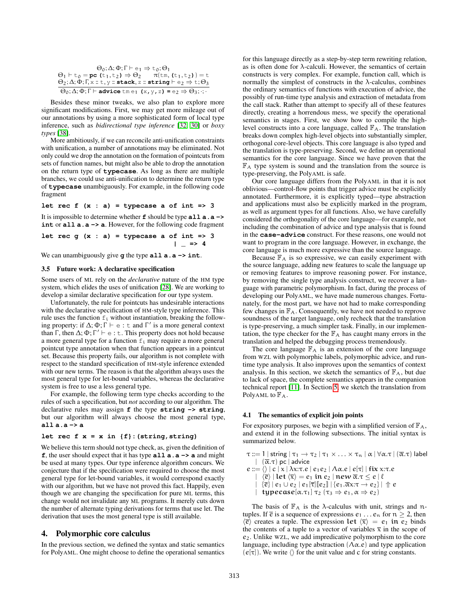| $\Theta_0$ : $\Delta$ : $\Phi$ : $\Gamma \vdash e_1 \Rightarrow$ to: $\Theta_1$                                                                |
|------------------------------------------------------------------------------------------------------------------------------------------------|
| $\Theta_1 \vdash t_0 = \mathbf{pc}$ (t <sub>1</sub> ,t <sub>2</sub> ) $\Rightarrow \Theta_2$ $\pi$ (tm, (t <sub>1</sub> ,t <sub>2</sub> )) = t |
| $\Theta_2$ ; $\Delta$ ; $\Phi$ ; $\Gamma$ , x :: t, y :: stack, z :: string $\vdash$ e <sub>2</sub> $\Rightarrow$ t; $\Theta_3$                |
| $\Theta_0$ ; $\Delta$ ; $\Phi$ ; $\Gamma$ $\vdash$ advice tme <sub>1</sub> (x, y, z) = e <sub>2</sub> $\Rightarrow \Theta_3$ ; ;               |

Besides these minor tweaks, we also plan to explore more significant modifications. First, we may get more mileage out of our annotations by using a more sophisticated form of local type inference, such as *bidirectional type inference* [[32](#page-13-13), [30](#page-13-14)] or *boxy types* [\[38\]](#page-13-15).

More ambitiously, if we can reconcile anti-unification constraints with unification, a number of annotations may be eliminated. Not only could we drop the annotation on the formation of pointcuts from sets of function names, but might also be able to drop the annotation on the return type of **typecase**. As long as there are multiple branches, we could use anti-unification to determine the return type of **typecase** unambiguously. For example, in the following code fragment

```
let rec f(x : a) = typecase a of int \Rightarrow 3
```
It is impossible to determine whether **f** should be type **all a.a -> int** or **all a.a -> a**. However, for the following code fragment

let rec  $g(x : a) = typecase a of int \Rightarrow 3$  $| =$  => 4

We can unambiguously give **q** the type **all a.a -> int**.

#### 3.5 Future work: A declarative specification

Some users of ML rely on the *declarative* nature of the HM type system, which elides the uses of unification [[28](#page-13-16)]. We are working to develop a similar declarative specification for our type system.

Unfortunately, the rule for pointcuts has undesirable interactions with the declarative specification of HM-style type inference. This rule uses the function  $f_i$  without instantiation, breaking the following property: if  $\Delta; \Phi; \Gamma \vdash e : t$  and  $\Gamma'$  is a more general context than  $\Gamma$ , then  $\Delta; \Phi; \Gamma' \vdash e : t$ . This property does not hold because a more general type for a function  $f_i$  may require a more general pointcut type annotation when that function appears in a pointcut set. Because this property fails, our algorithm is not complete with respect to the standard specification of HM-style inference extended with our new terms. The reason is that the algorithm always uses the most general type for let-bound variables, whereas the declarative system is free to use a less general type.

For example, the following term type checks according to the rules of such a specification, but *not* according to our algorithm. The declarative rules may assign **f** the type **string -> string**, but our algorithm will always choose the most general type, **all a.a -> a**

#### let rec  $f x = x in \{f\}$ : (string, string)

We believe this term should not type check, as, given the definition of **f**, the user should expect that it has type **all a.a -> a** and might be used at many types. Our type inference algorithm concurs. We conjecture that if the specification were required to choose the most general type for let-bound variables, it would correspond exactly with our algorithm, but we have not proved this fact. Happily, even though we are changing the specification for pure ML terms, this change would not invalidate any ML programs. It merely cuts down the number of alternate typing derivations for terms that use let. The derivation that uses the most general type is still available.

# <span id="page-7-0"></span>4. Polymorphic core calculus

In the previous section, we defined the syntax and static semantics for PolyAML. One might choose to define the operational semantics for this language directly as a step-by-step term rewriting relation, as is often done for  $\lambda$ -calculi. However, the semantics of certain constructs is very complex. For example, function call, which is normally the simplest of constructs in the  $\lambda$ -calculus, combines the ordinary semantics of functions with execution of advice, the possibly of run-time type analysis and extraction of metadata from the call stack. Rather than attempt to specify all of these features directly, creating a horrendous mess, we specify the operational semantics in stages. First, we show how to compile the highlevel constructs into a core language, called  $\mathbb{F}_A$ . The translation breaks down complex high-level objects into substantially simpler, orthogonal core-level objects. This core language is also typed and the translation is type-preserving. Second, we define an operational semantics for the core language. Since we have proven that the  $\mathbb{F}_A$  type system is sound and the translation from the source is type-preserving, the PolyAML is safe.

Our core language differs from the PolyAML in that it is not oblivious—control-flow points that trigger advice must be explicitly annotated. Furthermore, it is explicitly typed—type abstraction and applications must also be explicitly marked in the program, as well as argument types for all functions. Also, we have carefully considered the orthogonality of the core language—for example, not including the combination of advice and type analysis that is found in the **case-advice** construct. For these reasons, one would not want to program in the core language. However, in exchange, the core language is much more expressive than the source language.

Because  $\mathbb{F}_A$  is so expressive, we can easily experiment with the source language, adding new features to scale the language up or removing features to improve reasoning power. For instance, by removing the single type analysis construct, we recover a language with parametric polymorphism. In fact, during the process of developing our PolyAML, we have made numerous changes. Fortunately, for the most part, we have not had to make corresponding few changes in  $\mathbb{F}_A$ . Consequently, we have not needed to reprove soundness of the target language, only recheck that the translation is type-preserving, a much simpler task. Finally, in our implementation, the type checker for the  $\mathbb{F}_A$  has caught many errors in the translation and helped the debugging process tremendously.

The core language  $\mathbb{F}_A$  is an extension of the core language from WZL with polymorphic labels, polymorphic advice, and runtime type analysis. It also improves upon the semantics of context analysis. In this section, we sketch the semantics of  $\mathbb{F}_A$ , but due to lack of space, the complete semantics appears in the companion technical report [[11](#page-12-9)]. In Section [5,](#page-10-0) we sketch the translation from PolyAML to  $\mathbb{F}_A$ .

## 4.1 The semantics of explicit join points

For expository purposes, we begin with a simplified version of  $\mathbb{F}_A$ , and extend it in the following subsections. The initial syntax is summarized below.

- $\tau ::= 1 | \text{string} | \tau_1 \rightarrow \tau_2 | \tau_1 \times \ldots \times \tau_n | \alpha | \forall \alpha.\tau | (\overline{\alpha}.\tau)$  label  $|\overline{(\alpha,\tau)}\rangle$  pc | advice
- $e ::= \langle \rangle | c | x | \lambda x : \tau . e | e_1 e_2 | \Lambda \alpha . e | e[\tau] | fix x : \tau . e \rangle$ 
	- $\langle \overline{e} \rangle$  | let  $\langle \overline{x} \rangle = e_1$  in  $e_2$  | new  $\overline{\alpha}.\tau \le e \mid \ell$
	- $\{\overline{e}\}\,|$  e<sub>1</sub> ∪ e<sub>2</sub> | e<sub>1</sub>[ $\overline{\tau}$ ][[e<sub>2</sub>]] | {e<sub>1</sub>. $\overline{\alpha}$ x: $\tau \to e_2$ }|  $\Uparrow$  e typecase[ $\alpha.\tau_1$ ]  $\tau_2$  ( $\tau_3 \Rightarrow e_1, \alpha \Rightarrow e_2$ )
		-

The basis of  $\mathbb{F}_A$  is the  $\lambda$ -calculus with unit, strings and ntuples. If  $\bar{e}$  is a sequence of expressions  $e_1 \dots e_n$  for  $n \ge 2$ , then  $\langle \overline{e} \rangle$  creates a tuple. The expression let  $\langle \overline{x} \rangle = e_1$  in  $e_2$  binds the contents of a tuple to a vector of variables  $\bar{x}$  in the scope of e2. Unlike WZL, we add impredicative polymorphism to the core language, including type abstraction  $(\Lambda \alpha. e)$  and type application  $(e[\tau])$ . We write  $\langle \rangle$  for the unit value and c for string constants.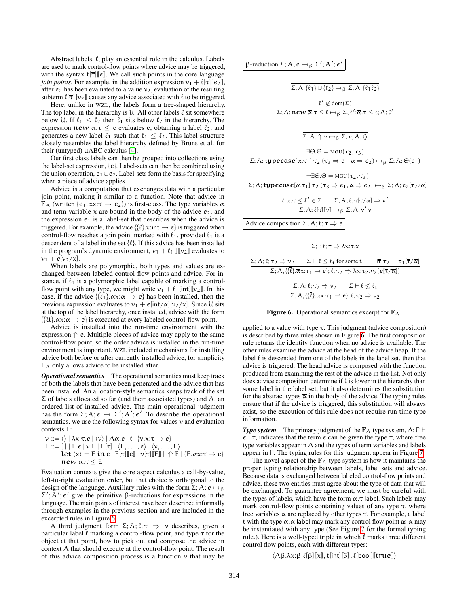Abstract labels,  $\ell$ , play an essential role in the calculus. Labels are used to mark control-flow points where advice may be triggered, with the syntax  $\ell[\bar{\tau}][[e]]$ . We call such points in the core language *join points*. For example, in the addition expression  $v_1 + \ell[\bar{\tau}][[e_2]]$ , after  $e_2$  has been evaluated to a value  $v_2$ , evaluation of the resulting subterm  $\ell[\bar{\tau}]\|\nu_2\|$  causes any advice associated with  $\ell$  to be triggered.

Here, unlike in WZL, the labels form a tree-shaped hierarchy. The top label in the hierarchy is  $U$ . All other labels  $\ell$  sit somewhere below U. If  $\ell_1 \leq \ell_2$  then  $\ell_1$  sits below  $\ell_2$  in the hierarchy. The expression  $\mathbf{n}$ ew  $\overline{\alpha}$ . $\tau \leq e$  evaluates e, obtaining a label  $\ell_2$ , and generates a new label  $\ell_1$  such that  $\ell_1 \leq \ell_2$ . This label structure closely resembles the label hierarchy defined by Bruns et al. for their (untyped)  $\mu$ ABC calculus [\[4\]](#page-12-10).

Our first class labels can then be grouped into collections using the label-set expression,  $\{\overline{e}\}\$ . Label-sets can then be combined using the union operation,  $e_1 \cup e_2$ . Label-sets form the basis for specifying when a piece of advice applies.

Advice is a computation that exchanges data with a particular join point, making it similar to a function. Note that advice in  $\mathbb{F}_A$  (written  $\{e_1, \overline{\alpha}x:\tau \to e_2\}$ ) is first-class. The type variables  $\overline{\alpha}$ and term variable  $x$  are bound in the body of the advice  $e_2$ , and the expression  $e_1$  is a label-set that describes when the advice is triggered. For example, the advice  $\{\{\overline{\ell}\}\}\times\left(\overline{\ell}\right)$ .  $x:\mathsf{int} \to e$  is triggered when control-flow reaches a join point marked with  $\ell_1$ , provided  $\ell_1$  is a descendent of a label in the set  $\{\overline{\ell}\}\$ . If this advice has been installed in the program's dynamic environment,  $v_1 + \ell_1 \|\[mathbf{v}_2\]$  evaluates to  $v_1 + e[v_2/x].$ 

When labels are polymorphic, both types and values are exchanged between labeled control-flow points and advice. For instance, if  $\ell_1$  is a polymorphic label capable of marking a controlflow point with any type, we might write  $v_1 + \ell_1$ [int][ $v_2$ ]. In this case, if the advice  $\{\{\ell_1\}.\alpha x:\alpha \to e\}$  has been installed, then the previous expression evaluates to  $v_1 + e[{\rm int}/\alpha][v_2/\alpha]$ . Since U sits at the top of the label hierarchy, once installed, advice with the form  $\{ \{U\}, \alpha x : \alpha \to e \}$  is executed at every labeled control-flow point.

Advice is installed into the run-time environment with the expression  $\Uparrow$  e. Multiple pieces of advice may apply to the same control-flow point, so the order advice is installed in the run-time environment is important. WZL included mechanisms for installing advice both before or after currently installed advice, for simplicity  $\mathbb{F}_A$  only allows advice to be installed after.

*Operational semantics* The operational semantics must keep track of both the labels that have been generated and the advice that has been installed. An allocation-style semantics keeps track of the set  $\Sigma$  of labels allocated so far (and their associated types) and A, an ordered list of installed advice. The main operational judgment has the form  $\Sigma$ ;  $A$ ;  $e \mapsto \Sigma'$ ;  $A'$ ;  $e'$ . To describe the operational compatible the splatform semantics, we use the following syntax for values  $\nu$  and evaluation contexts E:

$$
\begin{array}{l} \nu ::= \langle \rangle \mid \lambda x{:}\tau.e \mid \langle \overline{\nu} \rangle \mid \Lambda \alpha.e \mid \ell \mid \{ \nu.x{:}\tau \rightarrow e \} \\ E ::= \left[ \; \right] \mid E \; e \mid \nu \; E \mid E[\tau] \mid \langle E, \ldots, e \rangle \mid \langle \nu, \ldots, E \rangle \\ \mid \;\; let \; \langle \overline{x} \rangle = E \; in \; e \mid E[\overline{\tau}] [\![e]\!] \mid \nu[\overline{\tau}] [\![E]\!] \mid \Uparrow E \mid \{E. \overline{\alpha} x{:}\tau \rightarrow e \} \\ \mid \;\; new \; \overline{\alpha}. \tau \leq E \end{array}
$$

Evaluation contexts give the core aspect calculus a call-by-value, left-to-right evaluation order, but that choice is orthogonal to the design of the language. Auxiliary rules with the form  $\Sigma$ ; A;  $e \mapsto_{\beta}$  $\Sigma'$ ;  $\overline{A}'$ ;  $e'$  give the primitive  $\beta$ -reductions for expressions in the language. The main points of interest have been described informally through examples in the previous section and are included in the excerpted rules in Figure [6.](#page-8-0)

A third judgment form  $\Sigma; A; \ell; \tau \Rightarrow \nu$  describes, given a particular label  $\ell$  marking a control-flow point, and type  $\tau$  for the object at that point, how to pick out and compose the advice in context A that should execute at the control-flow point. The result of this advice composition process is a function  $\nu$  that may be  $\beta$ -reduction  $\Sigma; A; e \mapsto_{\beta} \Sigma'; A'; e'$ 

$$
\overline{\Sigma;A;\{\overline{\ell_1}\}\cup\{\overline{\ell_2}\}\mapsto_\beta\overline{\Sigma;A;\{\overline{\ell_1\ell_2}\}}
$$

 $\ell' \notin \text{dom}(\Sigma)$  $\Sigma; A; \textbf{new} \ \overline{\alpha}.\tau \leq \ell \mapsto_{\beta} \Sigma, \ell'; \overline{\alpha}.\tau \leq \ell; A; \ell'$ 

$$
\overline{\Sigma;A;\Uparrow\boldsymbol{\nu}\mapsto_{\beta}\Sigma;\boldsymbol{\nu},A;\langle\rangle}
$$

 $\exists\Theta.\Theta=\text{MGU}(\tau_2,\tau_3)$  $\Sigma; A; \text{typecase}[\alpha.\tau_1] \tau_2 \ (\tau_3 \Rightarrow e_1, \alpha \Rightarrow e_2) \mapsto_\beta \Sigma; A; \Theta(e_1)$ 

 $\neg \exists \Theta.\Theta = \text{MGU}(\tau_2, \tau_3)$  $\Sigma; A;$ typecase[ $\alpha.\tau_1$ ]  $\tau_2$  ( $\tau_3 \Rightarrow e_1, \alpha \Rightarrow e_2$ )  $\mapsto_\beta \Sigma; A; e_2[\tau_2/\alpha]$ 

$$
\frac{\ell:\overline{\alpha}.\tau \leq \ell' \in \Sigma \quad \Sigma; A; \ell; \tau[\overline{\tau}/\overline{\alpha}] \Rightarrow \nu'}{\Sigma; A; \ell[\overline{\tau}][\nu] \mapsto_{\beta} \Sigma; A; \nu'\nu}
$$
  
Advice composition  $\Sigma; A; \ell; \tau \Rightarrow e$ 

$$
\overline{\Sigma:\cdot:\ell:\tau\Rightarrow\lambda x:\tau.x}
$$

 $\Sigma; A; \ell; \tau_2 \Rightarrow v_2 \qquad \Sigma \vdash \ell \leq \ell_i \text{ for some } i \qquad \exists \overline{\tau}.\tau_2 = \tau_1[\overline{\tau}/\overline{\alpha}]$  $\Sigma; \mathcal{A}, \{ \{ \ell \}. \overline{\alpha} \chi : \tau_1 \to e \}; \ell; \tau_2 \Rightarrow \lambda \chi : \tau_2 \cdot \nu_2(e[\overline{\tau}/\overline{\alpha}])$  $\Sigma; A; \ell; \tau_2 \Rightarrow v_2 \qquad \Sigma \vdash \ell \not\leq \ell_i$  $\Sigma; A, \{\{\ell\}, \overline{\alpha}x:\tau_1 \to e\}; \ell; \tau_2 \Rightarrow \nu_2$ 

<span id="page-8-0"></span>

applied to a value with type  $\tau$ . This judgment (advice composition) is described by three rules shown in Figure [6.](#page-8-0) The first composition rule returns the identity function when no advice is available. The other rules examine the advice at the head of the advice heap. If the label  $\ell$  is descended from one of the labels in the label set, then that advice is triggered. The head advice is composed with the function produced from examining the rest of the advice in the list. Not only does advice composition determine if  $\ell$  is lower in the hierarchy than some label in the label set, but it also determines the substitution for the abstract types  $\bar{\alpha}$  in the body of the advice. The typing rules ensure that if the advice is triggered, this substitution will always exist, so the execution of this rule does not require run-time type information.

**Type system** The primary judgment of the  $\mathbb{F}_A$  type system,  $\Delta$ ;  $\Gamma \vdash$  $e : \tau$ , indicates that the term e can be given the type  $\tau$ , where free type variables appear in  $\Delta$  and the types of term variables and labels appear in  $\Gamma$ . The typing rules for this judgment appear in Figure [7.](#page-9-0)

The novel aspect of the  $\mathbb{F}_A$  type system is how it maintains the proper typing relationship between labels, label sets and advice. Because data is exchanged between labeled control-flow points and advice, these two entities must agree about the type of data that will be exchanged. To guarantee agreement, we must be careful with the types of labels, which have the form  $\overline{\alpha}$ .  $\tau$  label. Such labels may mark control-flow points containing values of any type  $\tau$ , where free variables  $\bar{\alpha}$  are replaced by other types  $\bar{\tau}$ . For example, a label  $\ell$  with the type  $\alpha$ . $\alpha$  label may mark any control flow point as  $\alpha$  may be instantiated with any type (See Figure [7](#page-9-0) for the formal typing rule.). Here is a well-typed triple in which  $\ell$  marks three different control flow points, each with different types:

 $\langle A\beta.\lambda x:\beta.\ell[\beta][x], \ell[\text{int}][3], \ell[\text{bool}][\text{true}]\rangle$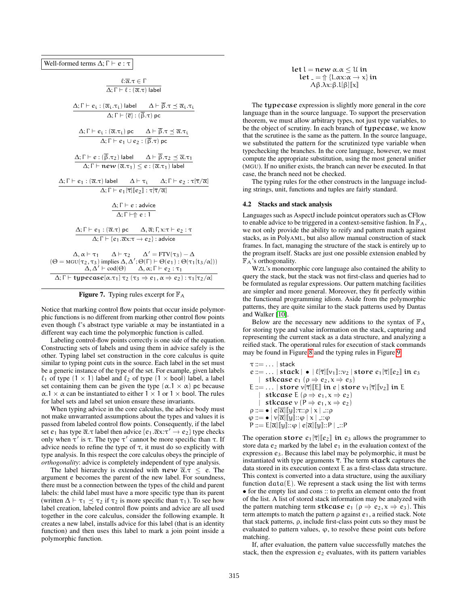| $\ell:\overline{\alpha}.\tau\in\Gamma$                                                                                                                                                                                             |  |  |  |
|------------------------------------------------------------------------------------------------------------------------------------------------------------------------------------------------------------------------------------|--|--|--|
| $\Delta; \Gamma \vdash \ell : (\overline{\alpha}, \tau)$ label                                                                                                                                                                     |  |  |  |
|                                                                                                                                                                                                                                    |  |  |  |
| $\Delta; \Gamma \vdash e_i : (\overline{\alpha}_i.\tau_i)$ label $\Delta \vdash \overline{\beta}.\tau \preceq \overline{\alpha}_i.\tau_i$                                                                                          |  |  |  |
| $\Delta: \Gamma \vdash \{\overline{e}\} : (\overline{B}, \tau)$ pc                                                                                                                                                                 |  |  |  |
|                                                                                                                                                                                                                                    |  |  |  |
| $\Delta; \Gamma \vdash e_i : (\overline{\alpha}, \tau_i)$ pc $\Delta \vdash \beta, \tau \prec \overline{\alpha}, \tau_i$                                                                                                           |  |  |  |
| $\Delta; \Gamma \vdash e_1 \cup e_2 : (\beta, \tau)$ pc                                                                                                                                                                            |  |  |  |
| $\Delta; \Gamma \vdash e : (\overline{\beta}.\tau_2)$ label $\Delta \vdash \overline{\beta}.\tau_2 \preceq \overline{\alpha}.\tau_1$                                                                                               |  |  |  |
| $\Delta; \Gamma \vdash \textbf{new}(\overline{\alpha}.\tau_1) \leq e : (\overline{\alpha}.\tau_1)$ label                                                                                                                           |  |  |  |
|                                                                                                                                                                                                                                    |  |  |  |
| $\Delta;\Gamma\vdash e_1:(\overline{\alpha}.\tau)$ label $\Delta\vdash \tau_i$ $\Delta;\Gamma\vdash e_2:\tau[\overline{\tau}/\overline{\alpha}]$                                                                                   |  |  |  |
| $\Delta$ : $\Gamma \vdash e_1[\overline{\tau}][\overline{e_2}]: \tau[\overline{\tau}/\overline{\alpha}]$                                                                                                                           |  |  |  |
|                                                                                                                                                                                                                                    |  |  |  |
| $\Delta; \Gamma \vdash e :$ advice                                                                                                                                                                                                 |  |  |  |
| $\Delta: \Gamma \vdash \Uparrow e: 1$                                                                                                                                                                                              |  |  |  |
| $\Delta; \Gamma \vdash e_1 : (\overline{\alpha}, \tau)$ pc $\Delta, \overline{\alpha}; \Gamma, \chi; \tau \vdash e_2 : \tau$                                                                                                       |  |  |  |
| $\Delta$ ; $\Gamma \vdash \{e_1 \ldots \overline{\alpha} x : \tau \rightarrow e_2\}$ : advice                                                                                                                                      |  |  |  |
|                                                                                                                                                                                                                                    |  |  |  |
| $\Delta, \alpha \vdash \tau_1 \qquad \Delta \vdash \tau_2 \qquad \Delta' = \text{FTV}(\tau_3) - \Delta$                                                                                                                            |  |  |  |
| $(\Theta = \text{MGU}(\tau_2, \tau_3)$ implies $\Delta, \Delta'; \Theta(\Gamma) \vdash \Theta(e_1) : \Theta(\tau_1[t_3/\alpha]))$<br>$\Delta, \Delta' \vdash \text{cod}(\Theta) \qquad \Delta, \alpha; \Gamma \vdash e_2 : \tau_1$ |  |  |  |
|                                                                                                                                                                                                                                    |  |  |  |

 $\Delta; \Gamma \vdash \textnormal{\texttt{type}}\textnormal{\texttt{case}}[\alpha.\tau_1] \, \tau_2 \; (\tau_3 \Rightarrow e_1, \alpha \Rightarrow e_2) : \tau_1[\tau_2/\alpha]$ 

<span id="page-9-0"></span>**Figure 7.** Typing rules excerpt for  $\mathbb{F}_A$ 

Notice that marking control flow points that occur inside polymorphic functions is no different from marking other control flow points even though  $\ell$ 's abstract type variable  $\alpha$  may be instantiated in a different way each time the polymorphic function is called.

Labeling control-flow points correctly is one side of the equation. Constructing sets of labels and using them in advice safely is the other. Typing label set construction in the core calculus is quite similar to typing point cuts in the source. Each label in the set must be a generic instance of the type of the set. For example, given labels  $\ell_1$  of type  $(1 \times 1)$  label and  $\ell_2$  of type  $(1 \times \text{bool})$  label, a label set containing them can be given the type  $(\alpha, 1 \times \alpha)$  pc because  $\alpha$ .1  $\times$   $\alpha$  can be instantiated to either 1  $\times$  1 or 1  $\times$  bool. The rules for label sets and label set union ensure these invariants.

When typing advice in the core calculus, the advice body must not make unwarranted assumptions about the types and values it is passed from labeled control flow points. Consequently, if the label set  $e_1$  has type  $\overline{\alpha}$ . a label then advice  $\{e_1 \cdot \overline{\alpha} x : \overline{\alpha}^2 \to e_2\}$  type checks only when  $\tau'$  is  $\tau$ . The type  $\tau'$  cannot be more specific than  $\tau$ . If advice needs to refine the type of  $\tau$ , it must do so explicitly with type analysis. In this respect the core calculus obeys the principle of *orthogonality*: advice is completely independent of type analysis.

The label hierarchy is extended with  $new \overline{\alpha}.\tau \leq e$ . The argument e becomes the parent of the new label. For soundness, there must be a connection between the types of the child and parent labels: the child label must have a more specific type than its parent (written  $\Delta \vdash \tau_1 \preceq \tau_2$  if  $\tau_2$  is more specific than  $\tau_1$ ). To see how label creation, labeled control flow points and advice are all used together in the core calculus, consider the following example. It creates a new label, installs advice for this label (that is an identity function) and then uses this label to mark a join point inside a polymorphic function.

## let  $l = new \alpha \alpha \alpha \alpha \alpha$  lin let  $= \hat{\pi} \{l. \alpha x : \alpha \rightarrow x\}$  in  $\Lambda \beta.\lambda x:\beta.\iota[\beta][x]$

The typecase expression is slightly more general in the core language than in the source language. To support the preservation theorem, we must allow arbitrary types, not just type variables, to be the object of scrutiny. In each branch of typecase, we know that the scrutinee is the same as the pattern. In the source language, we substituted the pattern for the scrutinized type variable when typechecking the branches. In the core language, however, we must compute the appropriate substitution, using the most general unifier (MGU). If no unifier exists, the branch can never be executed. In that case, the branch need not be checked.

The typing rules for the other constructs in the language including strings, unit, functions and tuples are fairly standard.

## 4.2 Stacks and stack analysis

Languages such as AspectJ include pointcut operators such as CFlow to enable advice to be triggered in a context-sensitive fashion. In  $\mathbb{F}_A$ , we not only provide the ability to reify and pattern match against stacks, as in PolyAML, but also allow manual construction of stack frames. In fact, managing the structure of the stack is entirely up to the program itself. Stacks are just one possible extension enabled by  $\mathbb{F}_A$ 's orthogonality.

WZL's monomorphic core language also contained the ability to query the stack, but the stack was not first-class and queries had to be formulated as regular expressions. Our pattern matching facilities are simpler and more general. Moreover, they fit perfectly within the functional programming idiom. Aside from the polymorphic patterns, they are quite similar to the stack patterns used by Dantas and Walker [\[10\]](#page-12-6).

Below are the necessary new additions to the syntax of  $\mathbb{F}_A$ for storing type and value information on the stack, capturing and representing the current stack as a data structure, and analyzing a reified stack. The operational rules for execution of stack commands may be found in Figure [8](#page-10-1) and the typing rules in Figure [9.](#page-10-2)

```
\tau ::= \dots | stack
 e ::= ... | stack | • | \ell[\bar{\tau}][v_1]::v<sub>2</sub> | store e<sub>1</sub>[\bar{\tau}][e_2] in e<sub>3</sub>
      | stkcase e_1 (\rho \Rightarrow e_2, x \Rightarrow e_3)E ::=... | store v[\overline{\tau}][E] in e | store v_1[\overline{\tau}][v_2] in E
      | stkcase E (\rho \Rightarrow e_1, x \Rightarrow e_2)| stkcase v (P \Rightarrow e_1, x \Rightarrow e_2)\rho ::= \bullet | e[\overline{\alpha}] [y] : \tau :: \rho | x | :: \rho\varphi ::= \bullet | \nu[\overline{\alpha}] \llbracket y \rrbracket :: \varphi | x | \ldots \varphiP ::= E[\overline{\alpha}][y]::\varphi | e[\overline{\alpha}][y]::P | ::P
```
The operation store  $e_1[\overline{\tau}][[e_2]]$  in  $e_3$  allows the programmer to store data  $e_2$  marked by the label  $e_1$  in the evaluation context of the expression  $e_3$ . Because this label may be polymorphic, it must be instantiated with type arguments  $\bar{\tau}$ . The term stack captures the data stored in its execution context E as a first-class data structure. This context is converted into a data structure, using the auxiliary function  $data(E)$ . We represent a stack using the list with terms • for the empty list and cons :: to prefix an element onto the front of the list. A list of stored stack information may be analyzed with the pattern matching term stkcase  $e_1$  ( $\rho \Rightarrow e_2, x \Rightarrow e_3$ ). This term attempts to match the pattern  $\rho$  against  $e_1$ , a reified stack. Note that stack patterns,  $\rho$ , include first-class point cuts so they must be evaluated to pattern values,  $\varphi$ , to resolve these point cuts before matching.

If, after evaluation, the pattern value successfully matches the stack, then the expression  $e_2$  evaluates, with its pattern variables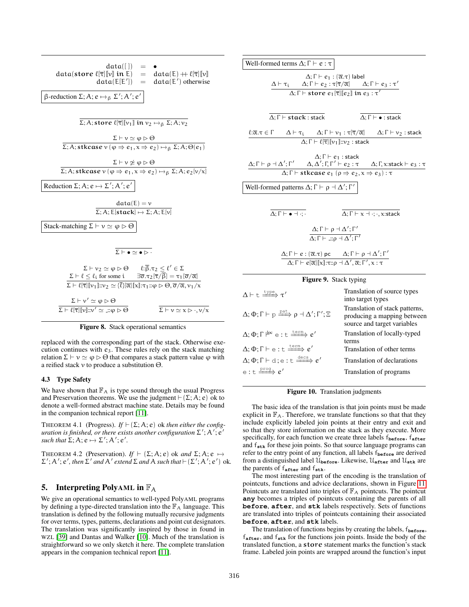

<span id="page-10-1"></span>

|  |  | Figure 8. Stack operational semantics |  |
|--|--|---------------------------------------|--|
|--|--|---------------------------------------|--|

replaced with the corresponding part of the stack. Otherwise execution continues with  $e_3$ . These rules rely on the stack matching relation  $\Sigma \vdash v \simeq \varphi \triangleright \Theta$  that compares a stack pattern value  $\varphi$  with a reified stack  $\nu$  to produce a substitution  $\Theta$ .

## 4.3 Type Safety

We have shown that  $\mathbb{F}_A$  is type sound through the usual Progress and Preservation theorems. We use the judgment  $\vdash (\Sigma; A; e)$  ok to denote a well-formed abstract machine state. Details may be found in the companion technical report [\[11\]](#page-12-9).

THEOREM 4.1 (Progress). If  $\vdash$  ( $\Sigma$ ; A; e) ok *then either the config*uration is finished, or there exists another configuration  $\Sigma'$ ; A'; e' such that  $\Sigma; A; e \mapsto \Sigma'; A'; e'.$ 

THEOREM 4.2 (Preservation). *If*  $\vdash$  ( $\Sigma; A; e$ ) ok *and*  $\Sigma; A; e \mapsto$  $\Sigma'$ ; A'; e', then  $\Sigma'$  and A' extend  $\Sigma$  and A such that  $\vdash (\Sigma'; A'; e')$  ok.

# <span id="page-10-0"></span>5. Interpreting PolyAML in  $\mathbb{F}_A$

We give an operational semantics to well-typed PolyAML programs by defining a type-directed translation into the  $\mathbb{F}_A$  language. This translation is defined by the following mutually recursive judgments for over terms, types, patterns, declarations and point cut designators. The translation was significantly inspired by those in found in WZL [[39](#page-13-5)] and Dantas and Walker [[10](#page-12-6)]. Much of the translation is straightforward so we only sketch it here. The complete translation appears in the companion technical report [\[11\]](#page-12-9).



<span id="page-10-2"></span>

| $\Delta$ $\vdash$ t $\xrightarrow[]{\text{type}}$ $\tau'$                                                                     | Translation of source types<br>into target types                                             |
|-------------------------------------------------------------------------------------------------------------------------------|----------------------------------------------------------------------------------------------|
| $\Delta; \Phi; \Gamma \vdash p \stackrel{\text{pat}}{\Longrightarrow} \rho \dashv \Delta'; \Gamma'; \Xi$                      | Translation of stack patterns,<br>producing a mapping between<br>source and target variables |
| $\Delta; \Phi ; \Gamma \stackrel{\text{loc}}{\longleftarrow} \mathrm{e} : \mathrm{t} \xrightarrow{\mathrm{term}} \mathrm{e'}$ | Translation of locally-typed<br>terms                                                        |
| $\Delta; \Phi ; \Gamma \vdash e : t \xrightarrow{\texttt{term}} e'$                                                           | Translation of other terms                                                                   |
| $\Delta; \Phi ; \Gamma \vdash \textup{d}$ ; e : t $\stackrel{\textup{decs}}{\xrightarrow{}} e'$                               | Translation of declarations                                                                  |
| $e: \pm \xrightarrow{\text{prog}} e'$                                                                                         | Translation of programs                                                                      |
|                                                                                                                               |                                                                                              |

#### Figure 10. Translation judgments

The basic idea of the translation is that join points must be made explicit in  $\mathbb{F}_A$ . Therefore, we translate functions so that that they include explicitly labeled join points at their entry and exit and so that they store information on the stack as they execute. More specifically, for each function we create three labels f**before**, f**after** and f**stk** for these join points. So that source language programs can refer to the entry point of any function, all labels f**before** are derived from a distinguished label U**before**. Likewise, U**after** and U**stk** are the parents of f**after** and f**stk**.

The most interesting part of the encoding is the translation of pointcuts, functions and advice declarations, shown in Figure [11.](#page-11-1) Pointcuts are translated into triples of  $\mathbb{F}_A$  pointcuts. The pointcut **any** becomes a triples of pointcuts containing the parents of all **before**, **after**, and **stk** labels respectively. Sets of functions are translated into triples of pointcuts containing their associated **before**, **after**, and **stk** labels.

The translation of functions begins by creating the labels, f**before**, f**after**, and f**stk** for the functions join points. Inside the body of the translated function, a store statement marks the function's stack frame. Labeled join points are wrapped around the function's input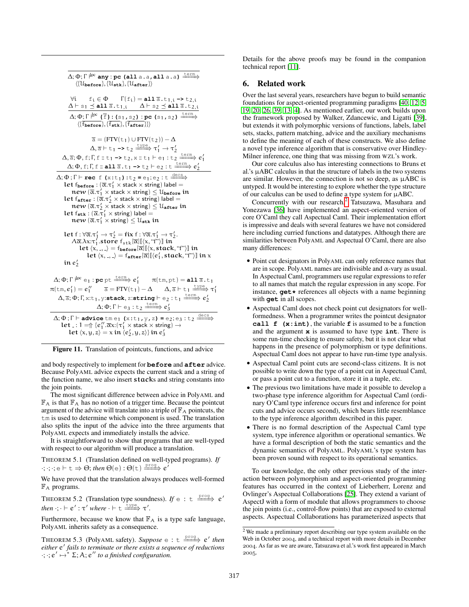```
\Delta; \Phi; \Gamma \stackrel{\text{loc}}{\longrightarrow} \textbf{any}: \textbf{pc} (all a, a, all a, a) \xrightarrow{\text{term}}\langle \{\mathcal{U}_{\texttt{before}}\}, \{\mathcal{U}_{\texttt{stk}}\}, \{\mathcal{U}_{\texttt{after}}\} \rangle∀i f_i ∈ Φ Γ(f_i) = a11\overline{a}, t_{1,i} → t_{2,i}\Delta \vdash s<sub>1</sub> \preceq all \overline{a}, t_{1,i} \Delta \vdash s<sub>2</sub> \preceq all \overline{a}, t_{2,i}\Delta; \Phi; \Gamma \stackrel{\text{loc}}{\longrightarrow} {\overline{\text{f}}}: (s_1, s_2) : pc (s_1, s_2) \xrightarrow{\text{term}}\langle \{\overline{f_{\texttt{before}}}\}, \{\overline{f_{\texttt{stk}}}\}, \{\overline{f_{\texttt{after}}}\}\rangle \rangle\overline{a} = (FTV(t_1) \cup FTV(t_2)) - \Delta\Delta, \overline{a} \models t_1 \rightarrow t_2 \xrightarrow{type} \tau'_1 \rightarrow \tau'_2<br>
\Delta, \overline{a}; \Phi, f; \Gamma, f \equiv t_1 \rightarrow t_2, x \equiv t_1 \models e_1 : t_2 \xrightarrow{term} e'_1\Delta; \Phi, f; \Gamma, f :: \text{all} \ \overline{\mathsf{a}}. \mathsf{t}_1 \rightarrow \mathsf{t}_2 \vdash \mathsf{e}_2 : \mathsf{t} \xrightarrow{\text{term}} e_2'\Delta; \Phi; \Gamma \vdash rec f (x:t_1): t_2 = e_1; e_2: t \xrightarrow{\text{decs}}\mathsf{let}\ \mathsf{f}_{\mathsf{before}}: (\overline{\alpha}.\tau'_1\times\mathsf{stack}\times\mathsf{string}) label =\mathsf{new}\left(\overline{\alpha}.\tau'_1\times \mathsf{stack}\times \mathsf{string}\right)\leq \mathcal{U}_{\mathtt{before}} in
               \det f_{\texttt{after}} : (\overline{\alpha}.\tau'_2 \times \texttt{stack} \times \texttt{string}) label =new(\overline{\alpha}.\tau'_2 \times \text{stack} \times \text{string}) \leq \mathcal{U}_{\text{after}} in let f_{\text{stk}} : (\overline{\alpha}.\tau'_1 \times \text{string}) label =
                        \mathsf{new}\left(\overline{\alpha}.\tau'_1\times \mathsf{string}\right)\leq \mathcal{U}_{\mathsf{stk}} in
               let f : \forall \overline{\alpha}, \tau_1' \to \tau_2' = \text{fix } f : \forall \overline{\alpha}, \tau_1' \to \tau_2'.\Lambda\overline{\alpha}.\lambda x:\tau_1'.\mathbf{store}\,\, \mathsf{f}_{\mathop{\mathrm{stk}}}[\overline{\alpha}]\llbracket\langle \mathsf{x},\text{``f''}\rangle\rrbracket in
                                 let \langle x, \_, \_ \rangle = \text{f}_{\texttt{before}}[\overline{\alpha}] [\![\langle x, \texttt{stack}, \texttt{``f''} \rangle ]\!] in
                                         \det \langle \mathsf{x}, \mathsf{I}, \mathsf{I} \rangle = \mathsf{f}_{\texttt{after}}[\overline{\alpha}]\llbracket \langle e_1', \texttt{stack}, \text{``f''} \rangle \rrbracket in \mathsf{x}in e'_2\Delta; \Phi; \Gamma \stackrel{\text{loc}}{\longrightarrow} e_1 : \mathbf{pc} \text{ pt} \xrightarrow{\text{term}} e_1' \qquad \pi(\text{tm}, \text{pt}) = \text{all} \overline{a} \cdot t_1\pi(\text{tm}, e_1') = e_1'' \quad \overline{a} = \text{FTV}(\text{t}_1) - \Delta \quad \Delta, \overline{a} \vdash \text{t}_1 \xrightarrow{\text{type}} \tau_1'<br>
\Delta, \overline{a}; \Phi; \Gamma, \text{x:t}_1, \text{y:stack, z:string} \vdash e_2 : \text{t}_1 \xrightarrow{\text{term}} e_2'\Delta; \Phi; \Gamma \vdash e_3 : t_2 \xrightarrow{term} e'_3\Delta; \Phi; \Gamma \vdash advice tm e<sub>1</sub> (x:t_1, y, z) = e_2; e_3 : t_2 \xrightarrow{decs}
```


<span id="page-11-1"></span>Figure 11. Translation of pointcuts, functions, and advice

and body respectively to implement for **before** and **after** advice. Because PolyAML advice expects the current stack and a string of the function name, we also insert stacks and string constants into the join points.

The most significant difference between advice in PolyAML and  $\mathbb{F}_A$  is that  $\mathbb{F}_A$  has no notion of a trigger time. Because the pointcut argument of the advice will translate into a triple of  $\mathbb{F}_A$  pointcuts, the tm is used to determine which component is used. The translation also splits the input of the advice into the three arguments that PolyAML expects and immediately installs the advice.

It is straightforward to show that programs that are well-typed with respect to our algorithm will produce a translation.

THEOREM 5.1 (Translation defined on well-typed programs). *If*  $\cdot$ ;  $\cdot$ ;  $\cdot$ ; e  $\vdash t \Rightarrow \Theta$ ; then  $\Theta$ (e) :  $\Theta$ (t)  $\xrightarrow{\text{prog}} e'$ 

We have proved that the translation always produces well-formed  $\mathbb{F}_A$  programs.

THEOREM 5.2 (Translation type soundness). *If*  $e : t \xrightarrow{\text{prog}} e'$ *then*  $\cdot; \cdot \vdash e' : \tau'$  *where*  $\cdot \vdash \vdash \xrightarrow{type} \tau'.$ 

Furthermore, because we know that  $\mathbb{F}_A$  is a type safe language, PolyAML inherits safety as a consequence.

THEOREM 5.3 (PolyAML safety). *Suppose*  $e : t \frac{prod}{\sigma} e'$  then either  $e'$  fails to terminate or there exists a sequence of reductions  $\cdot$ ;  $\cdot$ ;  $e' \mapsto^* \Sigma$ ; A;  $e''$  to a finished configuration.

Details for the above proofs may be found in the companion technical report [\[11\]](#page-12-9).

# <span id="page-11-0"></span>6. Related work

Over the last several years, researchers have begun to build semantic foundations for aspect-oriented programming paradigms [[40](#page-13-17), [12](#page-12-11), [5](#page-12-12), [19](#page-13-18), [20](#page-13-19), [26](#page-13-20), [39](#page-13-5), [13](#page-12-13), [4](#page-12-10)]. As mentioned earlier, our work builds upon the framework proposed by Walker, Zdancewic, and Ligatti [[39](#page-13-5)], but extends it with polymorphic versions of functions, labels, label sets, stacks, pattern matching, advice and the auxiliary mechanisms to define the meaning of each of these constructs. We also define a novel type inference algorithm that is conservative over Hindley-Milner inference, one thing that was missing from WZL's work.

Our core calculus also has interesting connections to Bruns et al.'s  $\mu$ ABC calculus in that the structure of labels in the two systems are similar. However, the connection is not so deep, as  $\mu$ ABC is untyped. It would be interesting to explore whether the type structure of our calculus can be used to define a type system for  $\mu$ ABC.

Concurrently with our research,<sup>[2](#page-11-2)</sup> Tatsuzawa, Masuhara and Yonezawa [[36](#page-13-21)] have implemented an aspect-oriented version of core O'Caml they call Aspectual Caml. Their implementation effort is impressive and deals with several features we have not considered here including curried functions and datatypes. Although there are similarities between PolyAML and Aspectual O'Caml, there are also many differences:

- Point cut designators in PolyAML can only reference names that are in scope. PolyAML names are indivisible and  $\alpha$ -vary as usual. In Aspectual Caml, programmers use regular expressions to refer to all names that match the regular expression in any scope. For instance, **get**\* references all objects with a name beginning with **get** in all scopes.
- Aspectual Caml does not check point cut designators for wellformedness. When a programmer writes the pointcut designator **call f (x:int)**, the variable **f** is assumed to be a function and the argument **x** is assumed to have type **int**. There is some run-time checking to ensure safety, but it is not clear what happens in the presence of polymorphism or type definitions. Aspectual Caml does not appear to have run-time type analysis.
- Aspectual Caml point cuts are second-class citizens. It is not possible to write down the type of a point cut in Aspectual Caml, or pass a point cut to a function, store it in a tuple, etc.
- The previous two limitations have made it possible to develop a two-phase type inference algorithm for Aspectual Caml (ordinary O'Caml type inference occurs first and inference for point cuts and advice occurs second), which bears little resemblance to the type inference algorithm described in this paper.
- There is no formal description of the Aspectual Caml type system, type inference algorithm or operational semantics. We have a formal description of both the static semantics and the dynamic semantics of PolyAML. PolyAML's type system has been proven sound with respect to its operational semantics.

To our knowledge, the only other previous study of the interaction between polymorphism and aspect-oriented programming features has occurred in the context of Lieberherr, Lorenz and Ovlinger's Aspectual Collaborations [[25](#page-13-22)]. They extend a variant of AspectJ with a form of module that allows programmers to choose the join points (i.e., control-flow points) that are exposed to external aspects. Aspectual Collaborations has parameterized aspects that

<span id="page-11-2"></span><sup>2</sup> We made a preliminary report describing our type system available on the Web in October 2004, and a technical report with more details in December . As far as we are aware, Tatsuzawa et al.'s work first appeared in March 2005.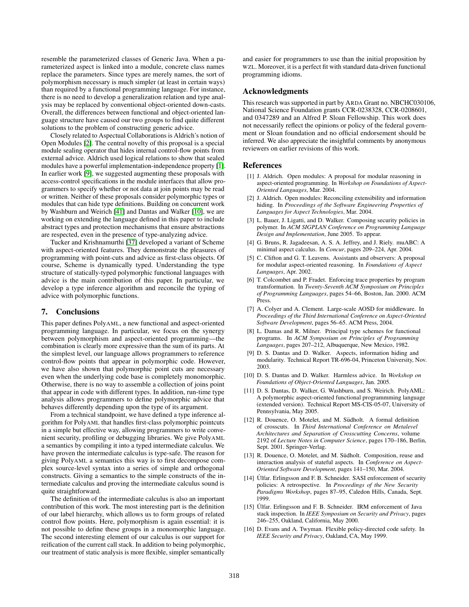resemble the parameterized classes of Generic Java. When a parameterized aspect is linked into a module, concrete class names replace the parameters. Since types are merely names, the sort of polymorphism necessary is much simpler (at least in certain ways) than required by a functional programming language. For instance, there is no need to develop a generalization relation and type analysis may be replaced by conventional object-oriented down-casts. Overall, the differences between functional and object-oriented language structure have caused our two groups to find quite different solutions to the problem of constructing generic advice.

Closely related to Aspectual Collaborations is Aldrich's notion of Open Modules [\[2\]](#page-12-14). The central novelty of this proposal is a special module sealing operator that hides internal control-flow points from external advice. Aldrich used logical relations to show that sealed modules have a powerful implementation-independence property [[1](#page-12-15)]. In earlier work [[9](#page-12-16)], we suggested augmenting these proposals with access-control specifications in the module interfaces that allow programmers to specify whether or not data at join points may be read or written. Neither of these proposals consider polymorphic types or modules that can hide type definitions. Building on concurrent work by Washburn and Weirich [[41](#page-13-23)] and Dantas and Walker [[10](#page-12-6)], we are working on extending the language defined in this paper to include abstract types and protection mechanisms that ensure abstractions are respected, even in the presence of type-analyzing advice.

Tucker and Krishnamurthi [[37](#page-13-24)] developed a variant of Scheme with aspect-oriented features. They demonstrate the pleasures of programming with point-cuts and advice as first-class objects. Of course, Scheme is dynamically typed. Understanding the type structure of statically-typed polymorphic functional languages with advice is the main contribution of this paper. In particular, we develop a type inference algorithm and reconcile the typing of advice with polymorphic functions.

# <span id="page-12-7"></span>7. Conclusions

This paper defines PolyAML, a new functional and aspect-oriented programming language. In particular, we focus on the synergy between polymorphism and aspect-oriented programming—the combination is clearly more expressive than the sum of its parts. At the simplest level, our language allows programmers to reference control-flow points that appear in polymorphic code. However, we have also shown that polymorphic point cuts are necessary even when the underlying code base is completely monomorphic. Otherwise, there is no way to assemble a collection of joins point that appear in code with different types. In addition, run-time type analysis allows programmers to define polymorphic advice that behaves differently depending upon the type of its argument.

From a technical standpoint, we have defined a type inference algorithm for PolyAML that handles first-class polymorphic pointcuts in a simple but effective way, allowing programmers to write convenient security, profiling or debugging libraries. We give PolyAML a semantics by compiling it into a typed intermediate calculus. We have proven the intermediate calculus is type-safe. The reason for giving PolyAML a semantics this way is to first decompose complex source-level syntax into a series of simple and orthogonal constructs. Giving a semantics to the simple constructs of the intermediate calculus and proving the intermediate calculus sound is quite straightforward.

The definition of the intermediate calculus is also an important contribution of this work. The most interesting part is the definition of our label hierarchy, which allows us to form groups of related control flow points. Here, polymorphism is again essential: it is not possible to define these groups in a monomorphic language. The second interesting element of our calculus is our support for reification of the current call stack. In addition to being polymorphic, our treatment of static analysis is more flexible, simpler semantically

and easier for programmers to use than the initial proposition by WZL. Moreover, it is a perfect fit with standard data-driven functional programming idioms.

## Acknowledgments

This research was supported in part by ARDA Grant no. NBCHC030106, National Science Foundation grants CCR-0238328, CCR-0208601, and 0347289 and an Alfred P. Sloan Fellowship. This work does not necessarily reflect the opinions or policy of the federal government or Sloan foundation and no official endorsement should be inferred. We also appreciate the insightful comments by anonymous reviewers on earlier revisions of this work.

# References

- <span id="page-12-15"></span>[1] J. Aldrich. Open modules: A proposal for modular reasoning in aspect-oriented programming. In *Workshop on Foundations of Aspect-Oriented Languages*, Mar. 2004.
- <span id="page-12-14"></span>[2] J. Aldrich. Open modules: Reconciling extensibility and information hiding. In *Proceedings of the Software Engineering Properties of Languages for Aspect Technologies*, Mar. 2004.
- <span id="page-12-5"></span>[3] L. Bauer, J. Ligatti, and D. Walker. Composing security policies in polymer. In *ACM SIGPLAN Conference on Programming Language Design and Implementation*, June 2005. To appear.
- <span id="page-12-10"></span>[4] G. Bruns, R. Jagadeesan, A. S. A. Jeffrey, and J. Riely. muABC: A minimal aspect calculus. In *Concur*, pages 209–224, Apr. 2004.
- <span id="page-12-12"></span>[5] C. Clifton and G. T. Leavens. Assistants and observers: A proposal for modular aspect-oriented reasoning. In *Foundations of Aspect Languages*, Apr. 2002.
- <span id="page-12-2"></span>[6] T. Colcombet and P. Fradet. Enforcing trace properties by program transformation. In *Twenty-Seventh ACM Symposium on Principles of Programming Languages*, pages 54–66, Boston, Jan. 2000. ACM Press.
- <span id="page-12-0"></span>[7] A. Colyer and A. Clement. Large-scale AOSD for middleware. In *Proceedings of the Third International Conference on Aspect-Oriented Software Development*, pages 56–65. ACM Press, 2004.
- <span id="page-12-8"></span>[8] L. Damas and R. Milner. Principal type schemes for functional programs. In *ACM Symposium on Principles of Programming Languages*, pages 207–212, Albuquerque, New Mexico, 1982.
- <span id="page-12-16"></span>[9] D. S. Dantas and D. Walker. Aspects, information hiding and modularity. Technical Report TR-696-04, Princeton University, Nov. 2003.
- <span id="page-12-6"></span>[10] D. S. Dantas and D. Walker. Harmless advice. In *Workshop on Foundations of Object-Oriented Languages*, Jan. 2005.
- <span id="page-12-9"></span>[11] D. S. Dantas, D. Walker, G. Washburn, and S. Weirich. PolyAML: A polymorphic aspect-oriented functional programmming language (extended version). Technical Report MS-CIS-05-07, University of Pennsylvania, May 2005.
- <span id="page-12-11"></span>[12] R. Douence, O. Motelet, and M. Südholt. A formal definition of crosscuts. In *Third International Conference on Metalevel Architectures and Separation of Crosscutting Concerns*, volume 2192 of *Lecture Notes in Computer Science*, pages 170–186, Berlin, Sept. 2001. Springer-Verlag.
- <span id="page-12-13"></span>[13] R. Douence, O. Motelet, and M. Südholt. Composition, reuse and interaction analysis of stateful aspects. In *Conference on Aspect-Oriented Software Development*, pages 141–150, Mar. 2004.
- <span id="page-12-3"></span>[14] Úlfar. Erlingsson and F. B. Schneider. SASI enforcement of security policies: A retrospective. In *Proceedings of the New Security Paradigms Workshop*, pages 87–95, Caledon Hills, Canada, Sept. 1999.
- <span id="page-12-4"></span>[15] Úlfar. Erlingsson and F. B. Schneider. IRM enforcement of Java stack inspection. In *IEEE Symposium on Security and Privacy*, pages 246–255, Oakland, California, May 2000.
- <span id="page-12-1"></span>[16] D. Evans and A. Twyman. Flexible policy-directed code safety. In *IEEE Security and Privacy*, Oakland, CA, May 1999.